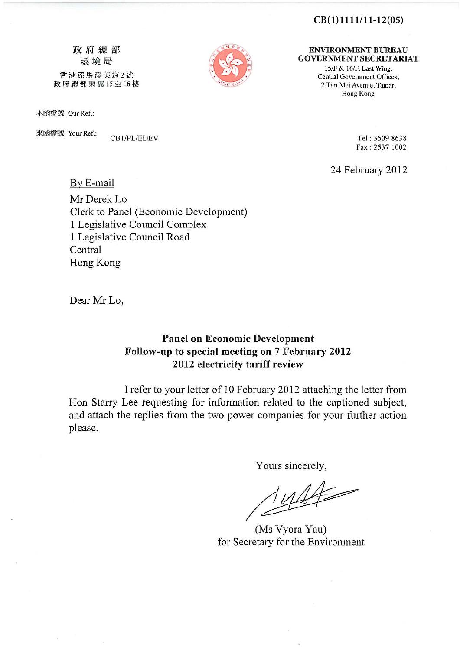#### **CB(1)1111/11-12(05)**

政府總部 環境局 香港添馬添美道2號

政府總部東翼15至16樓

By E-mail

本函檔號 Our Ref.:

來函檔號 Your Ref.:

CB1/PL/EDEV

**ENVIRONMENT BUREAU GOVERNMENT SECRETARIAT** 

> 15/F & 16/F, East Wing, Central Government Offices, 2 Tim Mei Avenue, Tamar, Hong Kong

> > Tel: 3509 8638 Fax: 2537 1002

24 February 2012

Mr Derek Lo Clerk to Panel (Economic Development) 1 Legislative Council Complex 1 Legislative Council Road Central Hong Kong

Dear Mr Lo,

## **Panel on Economic Development** Follow-up to special meeting on 7 February 2012 2012 electricity tariff review

I refer to your letter of 10 February 2012 attaching the letter from Hon Starry Lee requesting for information related to the captioned subject, and attach the replies from the two power companies for your further action please.

Yours sincerely,

 $\frac{144}{1}$ 

(Ms Vyora Yau) for Secretary for the Environment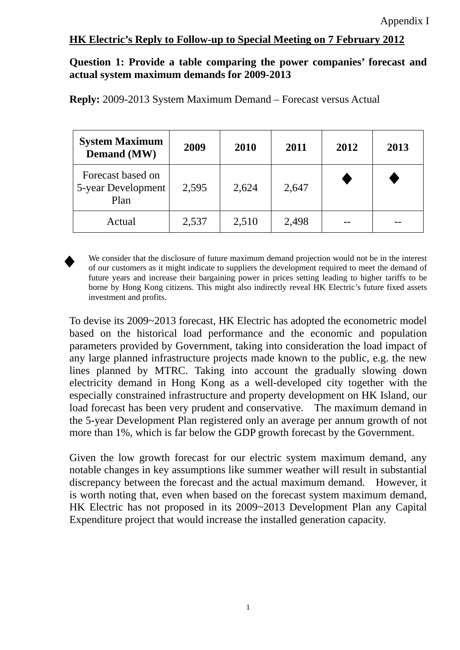## **Question 1: Provide a table comparing the power companies' forecast and actual system maximum demands for 2009-2013**

| <b>System Maximum</b><br><b>Demand</b> (MW)     | 2009  | 2010  | 2011  | 2012 | 2013 |
|-------------------------------------------------|-------|-------|-------|------|------|
| Forecast based on<br>5-year Development<br>Plan | 2,595 | 2,624 | 2,647 |      |      |
| Actual                                          | 2,537 | 2,510 | 2,498 |      |      |

**Reply:** 2009-2013 System Maximum Demand – Forecast versus Actual



We consider that the disclosure of future maximum demand projection would not be in the interest of our customers as it might indicate to suppliers the development required to meet the demand of future years and increase their bargaining power in prices setting leading to higher tariffs to be borne by Hong Kong citizens. This might also indirectly reveal HK Electric's future fixed assets investment and profits.

To devise its 2009~2013 forecast, HK Electric has adopted the econometric model based on the historical load performance and the economic and population parameters provided by Government, taking into consideration the load impact of any large planned infrastructure projects made known to the public, e.g. the new lines planned by MTRC. Taking into account the gradually slowing down electricity demand in Hong Kong as a well-developed city together with the especially constrained infrastructure and property development on HK Island, our load forecast has been very prudent and conservative. The maximum demand in the 5-year Development Plan registered only an average per annum growth of not more than 1%, which is far below the GDP growth forecast by the Government.

Given the low growth forecast for our electric system maximum demand, any notable changes in key assumptions like summer weather will result in substantial discrepancy between the forecast and the actual maximum demand. However, it is worth noting that, even when based on the forecast system maximum demand, HK Electric has not proposed in its 2009~2013 Development Plan any Capital Expenditure project that would increase the installed generation capacity.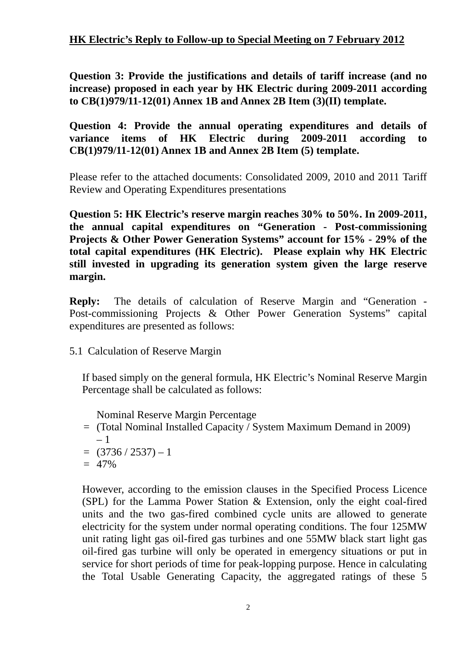**Question 3: Provide the justifications and details of tariff increase (and no increase) proposed in each year by HK Electric during 2009-2011 according to CB(1)979/11-12(01) Annex 1B and Annex 2B Item (3)(II) template.**

## **Question 4: Provide the annual operating expenditures and details of variance items of HK Electric during 2009-2011 according to CB(1)979/11-12(01) Annex 1B and Annex 2B Item (5) template.**

Please refer to the attached documents: Consolidated 2009, 2010 and 2011 Tariff Review and Operating Expenditures presentations

**Question 5: HK Electric's reserve margin reaches 30% to 50%. In 2009-2011, the annual capital expenditures on "Generation - Post-commissioning Projects & Other Power Generation Systems" account for 15% - 29% of the total capital expenditures (HK Electric). Please explain why HK Electric still invested in upgrading its generation system given the large reserve margin.** 

**Reply:** The details of calculation of Reserve Margin and "Generation - Post-commissioning Projects & Other Power Generation Systems" capital expenditures are presented as follows:

5.1 Calculation of Reserve Margin

If based simply on the general formula, HK Electric's Nominal Reserve Margin Percentage shall be calculated as follows:

Nominal Reserve Margin Percentage

- = (Total Nominal Installed Capacity / System Maximum Demand in 2009) – 1
- $=$  (3736 / 2537) 1
- $= 47\%$

However, according to the emission clauses in the Specified Process Licence (SPL) for the Lamma Power Station & Extension, only the eight coal-fired units and the two gas-fired combined cycle units are allowed to generate electricity for the system under normal operating conditions. The four 125MW unit rating light gas oil-fired gas turbines and one 55MW black start light gas oil-fired gas turbine will only be operated in emergency situations or put in service for short periods of time for peak-lopping purpose. Hence in calculating the Total Usable Generating Capacity, the aggregated ratings of these 5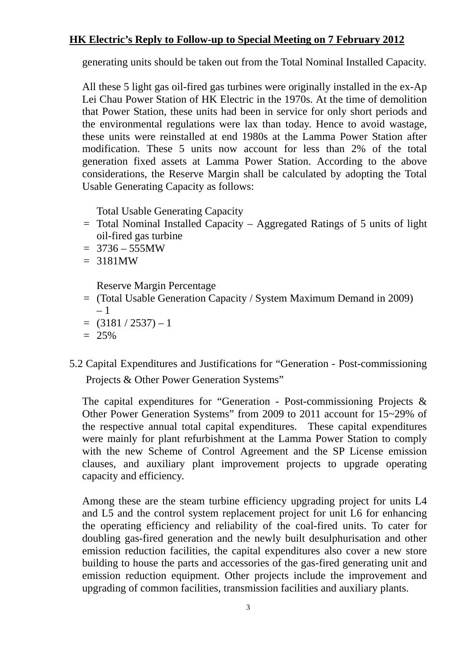generating units should be taken out from the Total Nominal Installed Capacity.

All these 5 light gas oil-fired gas turbines were originally installed in the ex-Ap Lei Chau Power Station of HK Electric in the 1970s. At the time of demolition that Power Station, these units had been in service for only short periods and the environmental regulations were lax than today. Hence to avoid wastage, these units were reinstalled at end 1980s at the Lamma Power Station after modification. These 5 units now account for less than 2% of the total generation fixed assets at Lamma Power Station. According to the above considerations, the Reserve Margin shall be calculated by adopting the Total Usable Generating Capacity as follows:

Total Usable Generating Capacity

- $=$  Total Nominal Installed Capacity Aggregated Ratings of 5 units of light oil-fired gas turbine
- $= 3736 555MW$
- $= 3181MW$

Reserve Margin Percentage

- = (Total Usable Generation Capacity / System Maximum Demand in 2009) – 1
- $= (3181 / 2537) 1$
- $= 25\%$
- 5.2 Capital Expenditures and Justifications for "Generation Post-commissioning Projects & Other Power Generation Systems"

The capital expenditures for "Generation - Post-commissioning Projects & Other Power Generation Systems" from 2009 to 2011 account for 15~29% of the respective annual total capital expenditures. These capital expenditures were mainly for plant refurbishment at the Lamma Power Station to comply with the new Scheme of Control Agreement and the SP License emission clauses, and auxiliary plant improvement projects to upgrade operating capacity and efficiency.

Among these are the steam turbine efficiency upgrading project for units L4 and L5 and the control system replacement project for unit L6 for enhancing the operating efficiency and reliability of the coal-fired units. To cater for doubling gas-fired generation and the newly built desulphurisation and other emission reduction facilities, the capital expenditures also cover a new store building to house the parts and accessories of the gas-fired generating unit and emission reduction equipment. Other projects include the improvement and upgrading of common facilities, transmission facilities and auxiliary plants.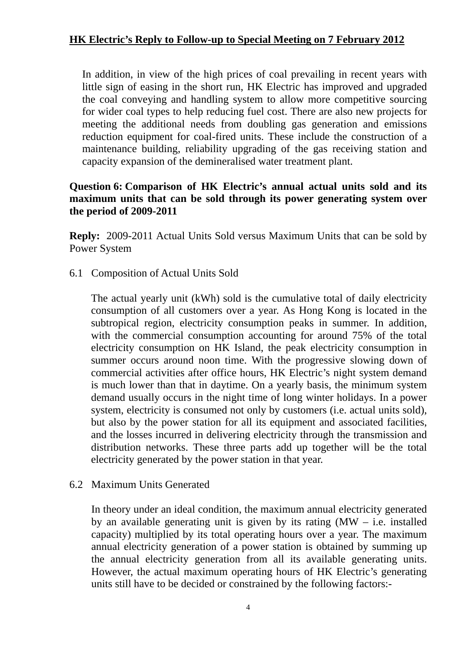In addition, in view of the high prices of coal prevailing in recent years with little sign of easing in the short run, HK Electric has improved and upgraded the coal conveying and handling system to allow more competitive sourcing for wider coal types to help reducing fuel cost. There are also new projects for meeting the additional needs from doubling gas generation and emissions reduction equipment for coal-fired units. These include the construction of a maintenance building, reliability upgrading of the gas receiving station and capacity expansion of the demineralised water treatment plant.

## **Question 6: Comparison of HK Electric's annual actual units sold and its maximum units that can be sold through its power generating system over the period of 2009-2011**

**Reply:** 2009-2011 Actual Units Sold versus Maximum Units that can be sold by Power System

6.1 Composition of Actual Units Sold

The actual yearly unit (kWh) sold is the cumulative total of daily electricity consumption of all customers over a year. As Hong Kong is located in the subtropical region, electricity consumption peaks in summer. In addition, with the commercial consumption accounting for around 75% of the total electricity consumption on HK Island, the peak electricity consumption in summer occurs around noon time. With the progressive slowing down of commercial activities after office hours, HK Electric's night system demand is much lower than that in daytime. On a yearly basis, the minimum system demand usually occurs in the night time of long winter holidays. In a power system, electricity is consumed not only by customers (i.e. actual units sold), but also by the power station for all its equipment and associated facilities, and the losses incurred in delivering electricity through the transmission and distribution networks. These three parts add up together will be the total electricity generated by the power station in that year.

## 6.2 Maximum Units Generated

 In theory under an ideal condition, the maximum annual electricity generated by an available generating unit is given by its rating  $(MW - i.e.$  installed capacity) multiplied by its total operating hours over a year. The maximum annual electricity generation of a power station is obtained by summing up the annual electricity generation from all its available generating units. However, the actual maximum operating hours of HK Electric's generating units still have to be decided or constrained by the following factors:-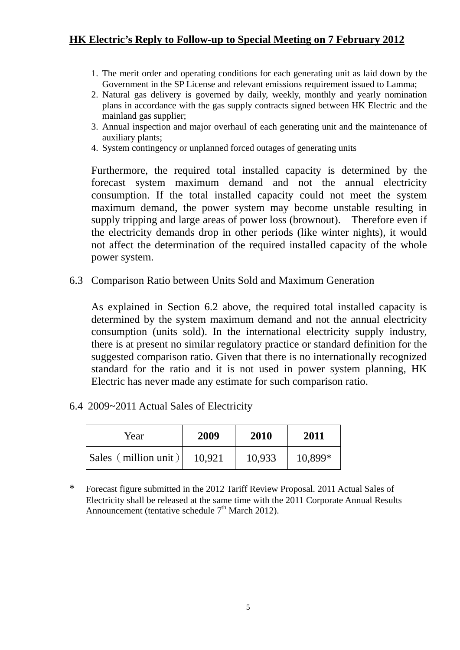- 1. The merit order and operating conditions for each generating unit as laid down by the Government in the SP License and relevant emissions requirement issued to Lamma;
- 2. Natural gas delivery is governed by daily, weekly, monthly and yearly nomination plans in accordance with the gas supply contracts signed between HK Electric and the mainland gas supplier;
- 3. Annual inspection and major overhaul of each generating unit and the maintenance of auxiliary plants;
- 4. System contingency or unplanned forced outages of generating units

Furthermore, the required total installed capacity is determined by the forecast system maximum demand and not the annual electricity consumption. If the total installed capacity could not meet the system maximum demand, the power system may become unstable resulting in supply tripping and large areas of power loss (brownout). Therefore even if the electricity demands drop in other periods (like winter nights), it would not affect the determination of the required installed capacity of the whole power system.

6.3 Comparison Ratio between Units Sold and Maximum Generation

 As explained in Section 6.2 above, the required total installed capacity is determined by the system maximum demand and not the annual electricity consumption (units sold). In the international electricity supply industry, there is at present no similar regulatory practice or standard definition for the suggested comparison ratio. Given that there is no internationally recognized standard for the ratio and it is not used in power system planning, HK Electric has never made any estimate for such comparison ratio.

6.4 2009~2011 Actual Sales of Electricity

| Year                 | 2009   | 2010   | 2011    |
|----------------------|--------|--------|---------|
| Sales (million unit) | 10,921 | 10,933 | 10,899* |

\* Forecast figure submitted in the 2012 Tariff Review Proposal. 2011 Actual Sales of Electricity shall be released at the same time with the 2011 Corporate Annual Results Announcement (tentative schedule  $7<sup>th</sup>$  March 2012).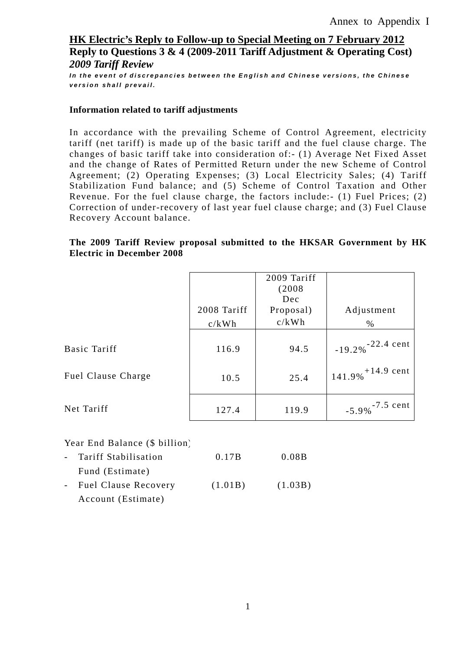*In the event of discrepancies between the English and Chinese versions, the Chinese version shall prevail.*

### **Information related to tariff adjustments**

In accordance with the prevailing Scheme of Control Agreement, electricity tariff (net tariff) is made up of the basic tariff and the fuel clause charge. The changes of basic tariff take into consideration of:- (1) Average Net Fixed Asset and the change of Rates of Permitted Return under the new Scheme of Control Agreement; (2) Operating Expenses; (3) Local Electricity Sales; (4) Tariff Stabilization Fund balance; and (5) Scheme of Control Taxation and Other Revenue. For the fuel clause charge, the factors include:- (1) Fuel Prices; (2) Correction of under-recovery of last year fuel clause charge; and (3) Fuel Clause Recovery Account balance.

### **The 2009 Tariff Review proposal submitted to the HKSAR Government by HK Electric in December 2008**

|                    | 2008 Tariff<br>c/kWh | 2009 Tariff<br>(2008<br>Dec<br>Proposal)<br>c/kWh | Adjustment<br>$\%$              |
|--------------------|----------------------|---------------------------------------------------|---------------------------------|
| Basic Tariff       | 116.9                | 94.5                                              | $-19.2\%$ <sup>-22.4 cent</sup> |
| Fuel Clause Charge | 10.5                 | 25.4                                              | $141.9\%$ <sup>+14.9</sup> cent |
| Net Tariff         | 127.4                | 119.9                                             | $-5.9\%$ <sup>-7.5</sup> cent   |

### Year End Balance (\$ billion)

| - Tariff Stabilisation | 0.17B   | 0.08B   |
|------------------------|---------|---------|
| Fund (Estimate)        |         |         |
| - Fuel Clause Recovery | (1.01B) | (1.03B) |
| Account (Estimate)     |         |         |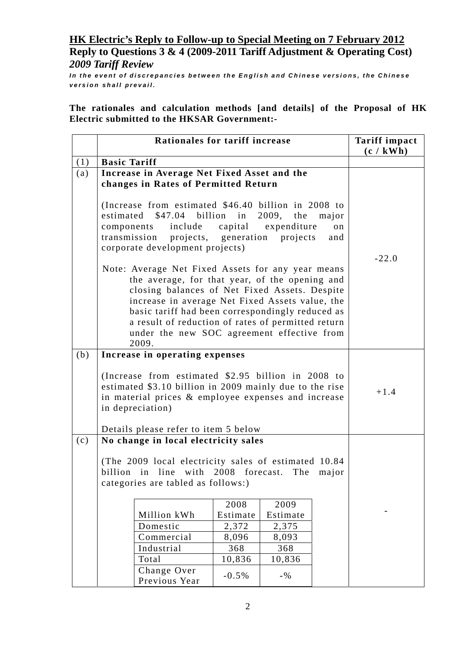*In the event of discrepancies between the English and Chinese versions, the Chinese version shall prevail.*

**The rationales and calculation methods [and details] of the Proposal of HK Electric submitted to the HKSAR Government:-** 

|     | Rationales for tariff increase                                                                                                                                                                                                                                                                                                                                           |                   |                          |                    | <b>Tariff impact</b><br>(c / kWh) |
|-----|--------------------------------------------------------------------------------------------------------------------------------------------------------------------------------------------------------------------------------------------------------------------------------------------------------------------------------------------------------------------------|-------------------|--------------------------|--------------------|-----------------------------------|
| (1) | <b>Basic Tariff</b>                                                                                                                                                                                                                                                                                                                                                      |                   |                          |                    |                                   |
| (a) | Increase in Average Net Fixed Asset and the<br>changes in Rates of Permitted Return                                                                                                                                                                                                                                                                                      |                   |                          |                    |                                   |
|     | (Increase from estimated \$46.40 billion in 2008 to<br>$$47.04$ billion in<br>estimated<br>include<br>components<br>transmission projects, generation projects<br>corporate development projects)                                                                                                                                                                        | capital           | 2009, the<br>expenditure | major<br>on<br>and | $-22.0$                           |
|     | Note: Average Net Fixed Assets for any year means<br>the average, for that year, of the opening and<br>closing balances of Net Fixed Assets. Despite<br>increase in average Net Fixed Assets value, the<br>basic tariff had been correspondingly reduced as<br>a result of reduction of rates of permitted return<br>under the new SOC agreement effective from<br>2009. |                   |                          |                    |                                   |
| (b) | Increase in operating expenses                                                                                                                                                                                                                                                                                                                                           |                   |                          |                    |                                   |
|     | (Increase from estimated \$2.95 billion in 2008 to<br>estimated \$3.10 billion in 2009 mainly due to the rise<br>in material prices & employee expenses and increase<br>in depreciation)<br>Details please refer to item 5 below                                                                                                                                         |                   |                          |                    | $+1.4$                            |
| (c) | No change in local electricity sales                                                                                                                                                                                                                                                                                                                                     |                   |                          |                    |                                   |
|     | (The 2009 local electricity sales of estimated 10.84<br>billion in line with 2008 forecast.<br>The<br>categories are tabled as follows:)                                                                                                                                                                                                                                 |                   |                          | major              |                                   |
|     |                                                                                                                                                                                                                                                                                                                                                                          | 2008              | 2009                     |                    |                                   |
|     | Million kWh                                                                                                                                                                                                                                                                                                                                                              | Estimate          | Estimate                 |                    |                                   |
|     | Domestic                                                                                                                                                                                                                                                                                                                                                                 | 2,372             | 2,375                    |                    |                                   |
|     | Commercial                                                                                                                                                                                                                                                                                                                                                               | 8,096             | 8,093                    |                    |                                   |
|     | Industrial<br>Total                                                                                                                                                                                                                                                                                                                                                      | 368               | 368                      |                    |                                   |
|     | Change Over<br>Previous Year                                                                                                                                                                                                                                                                                                                                             | 10,836<br>$-0.5%$ | 10,836<br>$-9/6$         |                    |                                   |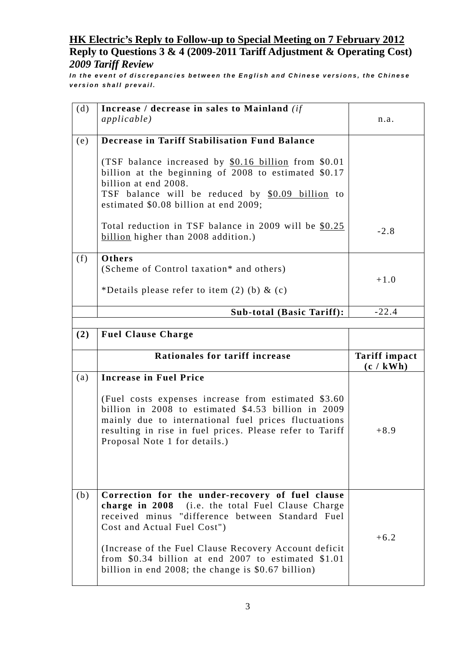*In the event of discrepancies between the English and Chinese versions, the Chinese version shall prevail.*

| (d) | Increase / decrease in sales to Mainland (if                                                                                                                                                                                                                     |                                   |
|-----|------------------------------------------------------------------------------------------------------------------------------------------------------------------------------------------------------------------------------------------------------------------|-----------------------------------|
|     | <i>applicable</i> )                                                                                                                                                                                                                                              | n.a.                              |
| (e) | <b>Decrease in Tariff Stabilisation Fund Balance</b>                                                                                                                                                                                                             |                                   |
|     | (TSF balance increased by \$0.16 billion from \$0.01<br>billion at the beginning of 2008 to estimated \$0.17<br>billion at end 2008.<br>TSF balance will be reduced by \$0.09 billion to<br>estimated \$0.08 billion at end 2009;                                |                                   |
|     | Total reduction in TSF balance in 2009 will be \$0.25<br>billion higher than 2008 addition.)                                                                                                                                                                     | $-2.8$                            |
| (f) | Others                                                                                                                                                                                                                                                           |                                   |
|     | (Scheme of Control taxation* and others)                                                                                                                                                                                                                         | $+1.0$                            |
|     | *Details please refer to item $(2)$ (b) & $(c)$                                                                                                                                                                                                                  |                                   |
|     | <b>Sub-total (Basic Tariff):</b>                                                                                                                                                                                                                                 | $-22.4$                           |
|     |                                                                                                                                                                                                                                                                  |                                   |
| (2) | <b>Fuel Clause Charge</b>                                                                                                                                                                                                                                        |                                   |
|     |                                                                                                                                                                                                                                                                  |                                   |
|     | Rationales for tariff increase                                                                                                                                                                                                                                   | <b>Tariff impact</b><br>(c / kWh) |
| (a) | <b>Increase in Fuel Price</b>                                                                                                                                                                                                                                    |                                   |
|     | (Fuel costs expenses increase from estimated \$3.60)<br>billion in 2008 to estimated \$4.53 billion in 2009<br>mainly due to international fuel prices fluctuations<br>resulting in rise in fuel prices. Please refer to Tariff<br>Proposal Note 1 for details.) | $+8.9$                            |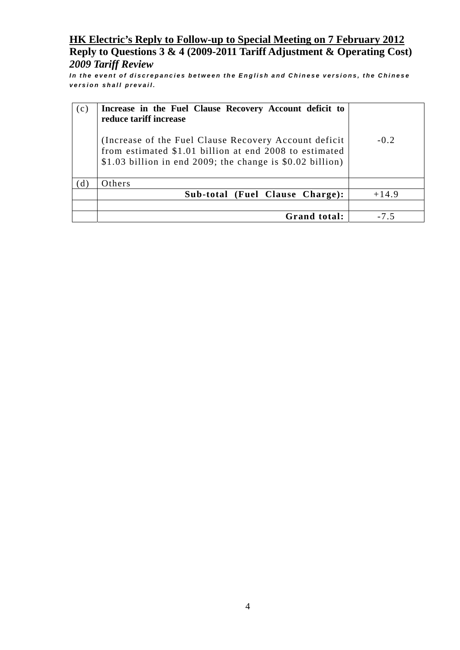*In the event of discrepancies between the English and Chinese versions, the Chinese version shall prevail.*

| (c) | Increase in the Fuel Clause Recovery Account deficit to<br>reduce tariff increase                                                                                              |         |
|-----|--------------------------------------------------------------------------------------------------------------------------------------------------------------------------------|---------|
|     | (Increase of the Fuel Clause Recovery Account deficit)<br>from estimated \$1.01 billion at end 2008 to estimated<br>\$1.03 billion in end 2009; the change is $$0.02$ billion) | $-0.2$  |
| (d) | Others                                                                                                                                                                         |         |
|     | Sub-total (Fuel Clause Charge):                                                                                                                                                | $+14.9$ |
|     |                                                                                                                                                                                |         |
|     | Grand total:                                                                                                                                                                   | -75     |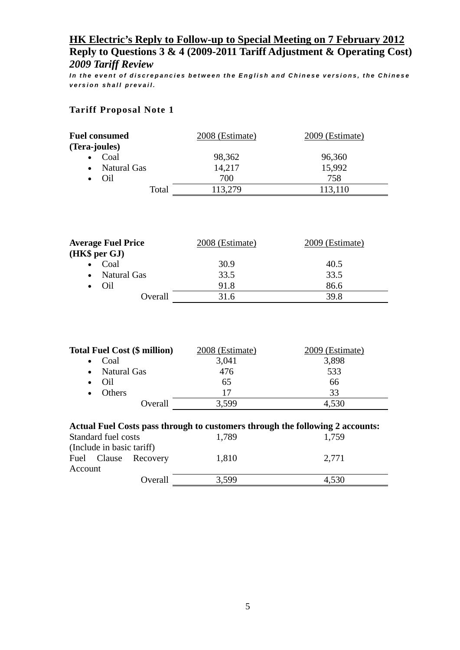*In the event of discrepancies between the English and Chinese versions, the Chinese version shall prevail.*

### **Tariff Proposal Note 1**

| <b>Fuel consumed</b>            | 2008 (Estimate) | 2009 (Estimate) |
|---------------------------------|-----------------|-----------------|
| (Tera-joules)                   |                 |                 |
| Coal                            | 98,362          | 96,360          |
| <b>Natural Gas</b><br>$\bullet$ | 14,217          | 15,992          |
| Oil<br>$\bullet$                | 700             | 758             |
| Total                           | 113,279         | 113,110         |

| <b>Average Fuel Price</b> | 2008 (Estimate) | 2009 (Estimate) |
|---------------------------|-----------------|-----------------|
| (HK\$ per GJ)             |                 |                 |
| Coal                      | 30.9            | 40.5            |
| • Natural Gas             | 33.5            | 33.5            |
| Oil<br>$\bullet$          | 91.8            | 86.6            |
| Overall                   | 31.6            | 39.8            |

| <b>Total Fuel Cost (\$ million)</b>                                                                                | 2008 (Estimate) | 2009 (Estimate) |
|--------------------------------------------------------------------------------------------------------------------|-----------------|-----------------|
| Coal<br>$\bullet$                                                                                                  | 3,041           | 3,898           |
| Natural Gas<br>$\bullet$                                                                                           | 476             | 533             |
| Oil                                                                                                                | 65              | 66              |
| Others<br>$\bullet$                                                                                                | 17              | 33              |
| Overall                                                                                                            | 3.599           | 4,530           |
| Actual Fuel Costs pass through to customers through the following 2 accounts:<br>$\alpha$ , 1 1 $\alpha$ 1 $\beta$ | 1.700           |                 |

| Standard fuel costs             | 1,789 | 1,759 |
|---------------------------------|-------|-------|
| (Include in basic tariff)       |       |       |
| Fuel Clause Recovery<br>Account | 1,810 | 2.771 |
| Overall                         | 3.599 | 4,530 |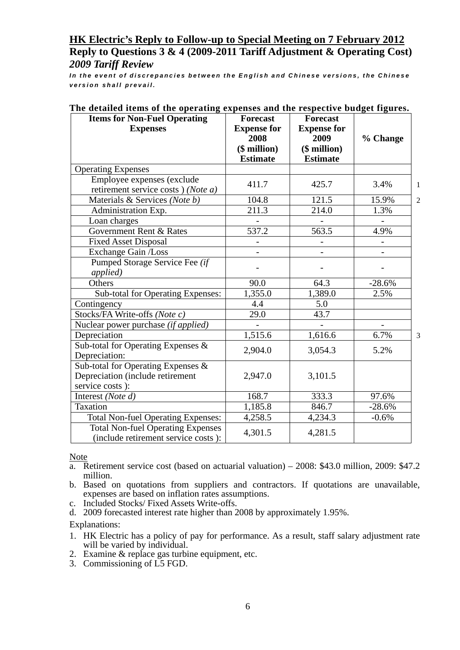*In the event of discrepancies between the English and Chinese versions, the Chinese version shall prevail.*

| <b>Items for Non-Fuel Operating</b>                                             | <b>Forecast</b>    | <b>Forecast</b>    |          |                |
|---------------------------------------------------------------------------------|--------------------|--------------------|----------|----------------|
| <b>Expenses</b>                                                                 | <b>Expense for</b> | <b>Expense for</b> |          |                |
|                                                                                 | 2008               | 2009               | % Change |                |
|                                                                                 | $($$ million $)$   | $$$ million $)$    |          |                |
|                                                                                 | <b>Estimate</b>    | <b>Estimate</b>    |          |                |
| <b>Operating Expenses</b>                                                       |                    |                    |          |                |
| Employee expenses (exclude                                                      | 411.7              | 425.7              | 3.4%     | 1              |
| retirement service costs) (Note a)                                              |                    |                    |          |                |
| Materials & Services (Note b)                                                   | 104.8              | 121.5              | 15.9%    | $\overline{2}$ |
| Administration Exp.                                                             | 211.3              | 214.0              | 1.3%     |                |
| Loan charges                                                                    |                    |                    |          |                |
| Government Rent & Rates                                                         | 537.2              | 563.5              | 4.9%     |                |
| <b>Fixed Asset Disposal</b>                                                     |                    |                    |          |                |
| <b>Exchange Gain /Loss</b>                                                      |                    |                    |          |                |
| Pumped Storage Service Fee (if                                                  |                    |                    |          |                |
| applied)                                                                        |                    |                    |          |                |
| Others                                                                          | 90.0               | 64.3               | $-28.6%$ |                |
| Sub-total for Operating Expenses:                                               | 1,355.0            | 1,389.0            | 2.5%     |                |
| Contingency                                                                     | 4.4                | 5.0                |          |                |
| Stocks/FA Write-offs (Note c)                                                   | $\overline{29.0}$  | 43.7               |          |                |
| Nuclear power purchase (if applied)                                             |                    |                    |          |                |
| Depreciation                                                                    | 1,515.6            | 1,616.6            | 6.7%     | 3              |
| Sub-total for Operating Expenses &                                              |                    |                    |          |                |
| Depreciation:                                                                   | 2,904.0            | 3,054.3            | 5.2%     |                |
| Sub-total for Operating Expenses &                                              |                    |                    |          |                |
| Depreciation (include retirement                                                | 2,947.0            | 3,101.5            |          |                |
| service costs):                                                                 |                    |                    |          |                |
| Interest (Note d)                                                               | 168.7              | 333.3              | 97.6%    |                |
| <b>Taxation</b>                                                                 | 1,185.8            | 846.7              | $-28.6%$ |                |
| <b>Total Non-fuel Operating Expenses:</b>                                       | 4,258.5            | 4,234.3            | $-0.6%$  |                |
| <b>Total Non-fuel Operating Expenses</b><br>(include retirement service costs): | 4,301.5            | 4,281.5            |          |                |

### **The detailed items of the operating expenses and the respective budget figures.**

**Note** 

- a. Retirement service cost (based on actuarial valuation) 2008: \$43.0 million, 2009: \$47.2 million.
- b. Based on quotations from suppliers and contractors. If quotations are unavailable, expenses are based on inflation rates assumptions.
- c. Included Stocks/ Fixed Assets Write-offs.
- d. 2009 forecasted interest rate higher than 2008 by approximately 1.95%.

Explanations:

- 1. HK Electric has a policy of pay for performance. As a result, staff salary adjustment rate will be varied by individual.
- 2. Examine & replace gas turbine equipment, etc.
- 3. Commissioning of L5 FGD.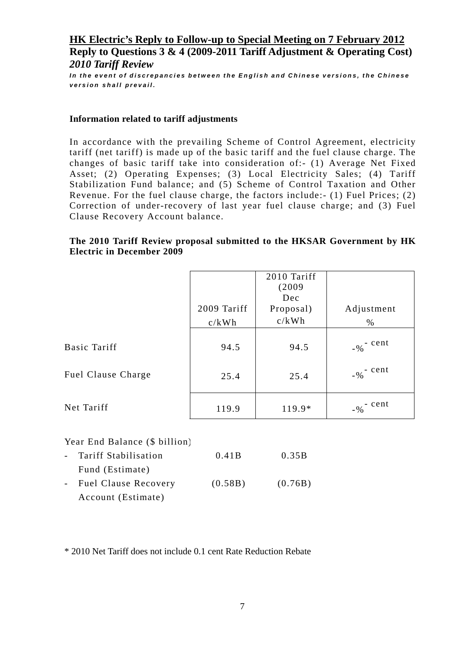*In the event of discrepancies between the English and Chinese versions, the Chinese version shall prevail.*

#### **Information related to tariff adjustments**

In accordance with the prevailing Scheme of Control Agreement, electricity tariff (net tariff) is made up of the basic tariff and the fuel clause charge. The changes of basic tariff take into consideration of:- (1) Average Net Fixed Asset; (2) Operating Expenses; (3) Local Electricity Sales; (4) Tariff Stabilization Fund balance; and (5) Scheme of Control Taxation and Other Revenue. For the fuel clause charge, the factors include:- (1) Fuel Prices; (2) Correction of under-recovery of last year fuel clause charge; and (3) Fuel Clause Recovery Account balance.

### **The 2010 Tariff Review proposal submitted to the HKSAR Government by HK Electric in December 2009**

|                           | 2009 Tariff<br>c/kWh | 2010 Tariff<br>(2009<br>Dec<br>Proposal)<br>c/kWh | Adjustment<br>% |
|---------------------------|----------------------|---------------------------------------------------|-----------------|
| <b>Basic Tariff</b>       | 94.5                 | 94.5                                              | $-$ % $-$ cent  |
| <b>Fuel Clause Charge</b> | 25.4                 | 25.4                                              | $-$ % $-$ cent  |
| Net Tariff                | 119.9                | 119.9*                                            | $-$ % $-$ cent  |

#### Year End Balance (\$ billion)

| - Tariff Stabilisation | 0.41B   | 0.35B   |
|------------------------|---------|---------|
| Fund (Estimate)        |         |         |
| - Fuel Clause Recovery | (0.58B) | (0.76B) |
| Account (Estimate)     |         |         |

\* 2010 Net Tariff does not include 0.1 cent Rate Reduction Rebate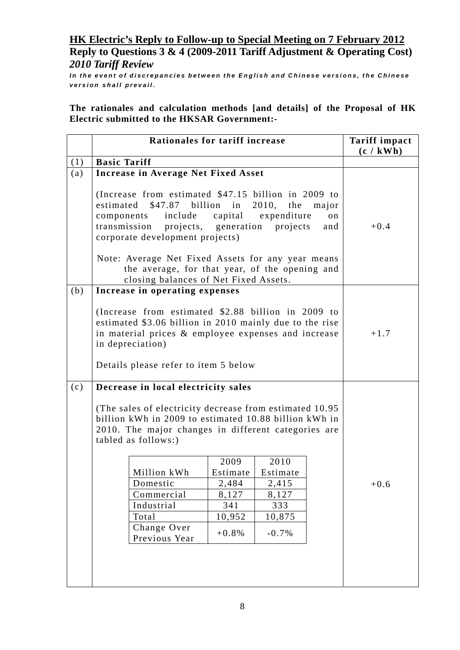*In the event of discrepancies between the English and Chinese versions, the Chinese version shall prevail.*

**The rationales and calculation methods [and details] of the Proposal of HK Electric submitted to the HKSAR Government:-** 

|     | Rationales for tariff increase                                                                                                                                                                                                                                                                                                              |                  |                                            |           | <b>Tariff impact</b><br>(c / kWh) |
|-----|---------------------------------------------------------------------------------------------------------------------------------------------------------------------------------------------------------------------------------------------------------------------------------------------------------------------------------------------|------------------|--------------------------------------------|-----------|-----------------------------------|
| (1) | <b>Basic Tariff</b>                                                                                                                                                                                                                                                                                                                         |                  |                                            |           |                                   |
| (a) | <b>Increase in Average Net Fixed Asset</b>                                                                                                                                                                                                                                                                                                  |                  |                                            |           |                                   |
|     | (Increase from estimated \$47.15 billion in 2009 to<br>estimated<br>$$47.87$ billion in<br>include<br>components<br>transmission<br>projects, generation<br>corporate development projects)<br>Note: Average Net Fixed Assets for any year means<br>the average, for that year, of the opening and<br>closing balances of Net Fixed Assets. | capital          | 2010, the major<br>expenditure<br>projects | on<br>and | $+0.4$                            |
| (b) | Increase in operating expenses                                                                                                                                                                                                                                                                                                              |                  |                                            |           |                                   |
|     | (Increase from estimated \$2.88 billion in 2009 to<br>estimated \$3.06 billion in 2010 mainly due to the rise<br>in material prices & employee expenses and increase<br>in depreciation)<br>Details please refer to item 5 below                                                                                                            |                  |                                            |           | $+1.7$                            |
| (c) | Decrease in local electricity sales                                                                                                                                                                                                                                                                                                         |                  |                                            |           |                                   |
|     | (The sales of electricity decrease from estimated 10.95)<br>billion kWh in 2009 to estimated 10.88 billion kWh in<br>2010. The major changes in different categories are<br>tabled as follows:)                                                                                                                                             |                  |                                            |           |                                   |
|     | Million kWh                                                                                                                                                                                                                                                                                                                                 | 2009<br>Estimate | 2010<br>Estimate                           |           |                                   |
|     | Domestic                                                                                                                                                                                                                                                                                                                                    | 2,484            | 2,415                                      |           | $+0.6$                            |
|     | Commercial                                                                                                                                                                                                                                                                                                                                  | 8,127            | 8,127                                      |           |                                   |
|     | Industrial                                                                                                                                                                                                                                                                                                                                  | 341              | 333                                        |           |                                   |
|     | Total                                                                                                                                                                                                                                                                                                                                       | 10,952           | 10,875                                     |           |                                   |
|     | Change Over<br>Previous Year                                                                                                                                                                                                                                                                                                                | $+0.8%$          | $-0.7%$                                    |           |                                   |
|     |                                                                                                                                                                                                                                                                                                                                             |                  |                                            |           |                                   |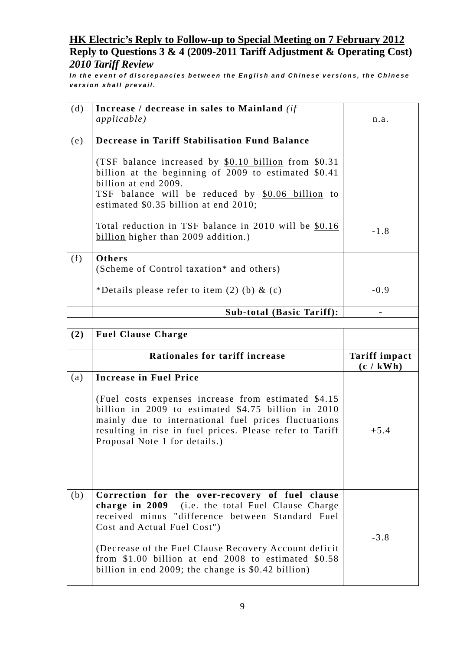*In the event of discrepancies between the English and Chinese versions, the Chinese version shall prevail.*

| (d) | Increase / decrease in sales to Mainland (if                                                                                                                                                                                                                                                   |                                   |
|-----|------------------------------------------------------------------------------------------------------------------------------------------------------------------------------------------------------------------------------------------------------------------------------------------------|-----------------------------------|
|     | <i>applicable</i> )                                                                                                                                                                                                                                                                            | n.a.                              |
| (e) | <b>Decrease in Tariff Stabilisation Fund Balance</b>                                                                                                                                                                                                                                           |                                   |
|     | (TSF balance increased by \$0.10 billion from \$0.31)<br>billion at the beginning of $2009$ to estimated $$0.41$<br>billion at end 2009.<br>TSF balance will be reduced by \$0.06 billion to<br>estimated \$0.35 billion at end 2010;<br>Total reduction in TSF balance in 2010 will be \$0.16 |                                   |
|     | billion higher than 2009 addition.)                                                                                                                                                                                                                                                            | $-1.8$                            |
| (f) | Others<br>(Scheme of Control taxation* and others)                                                                                                                                                                                                                                             |                                   |
|     | *Details please refer to item $(2)$ (b) & $(c)$                                                                                                                                                                                                                                                | $-0.9$                            |
|     | <b>Sub-total (Basic Tariff):</b>                                                                                                                                                                                                                                                               |                                   |
|     |                                                                                                                                                                                                                                                                                                |                                   |
| (2) | <b>Fuel Clause Charge</b>                                                                                                                                                                                                                                                                      |                                   |
|     |                                                                                                                                                                                                                                                                                                |                                   |
|     | Rationales for tariff increase                                                                                                                                                                                                                                                                 | <b>Tariff impact</b><br>(c / kWh) |
| (a) | <b>Increase in Fuel Price</b>                                                                                                                                                                                                                                                                  |                                   |
|     | (Fuel costs expenses increase from estimated \$4.15)<br>billion in 2009 to estimated \$4.75 billion in 2010<br>mainly due to international fuel prices fluctuations<br>resulting in rise in fuel prices. Please refer to Tariff<br>Proposal Note 1 for details.)                               | $+5.4$                            |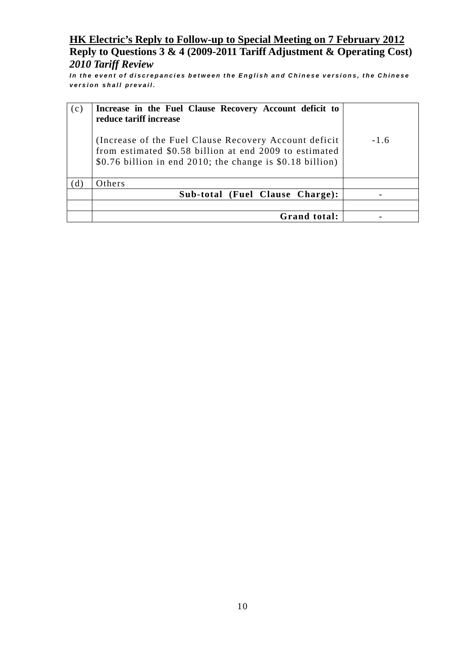*In the event of discrepancies between the English and Chinese versions, the Chinese version shall prevail.*

| (c) | Increase in the Fuel Clause Recovery Account deficit to<br>reduce tariff increase                                                                                             |        |
|-----|-------------------------------------------------------------------------------------------------------------------------------------------------------------------------------|--------|
|     | (Increase of the Fuel Clause Recovery Account deficit)<br>from estimated \$0.58 billion at end 2009 to estimated<br>\$0.76 billion in end 2010; the change is \$0.18 billion) | $-1.6$ |
| (d) | Others                                                                                                                                                                        |        |
|     | Sub-total (Fuel Clause Charge):                                                                                                                                               |        |
|     |                                                                                                                                                                               |        |
|     | Grand total:                                                                                                                                                                  |        |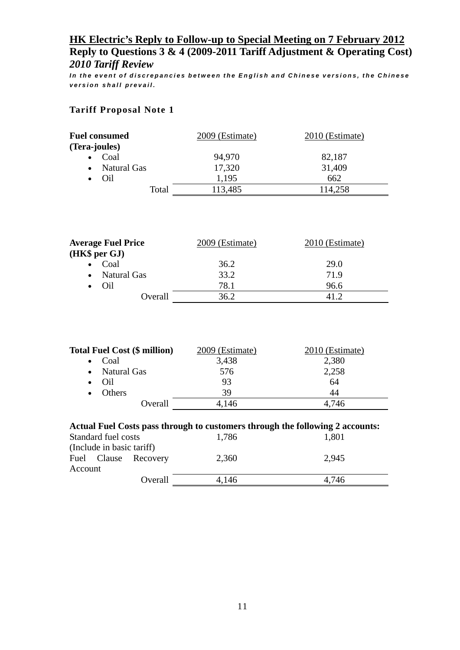*In the event of discrepancies between the English and Chinese versions, the Chinese version shall prevail.*

### **Tariff Proposal Note 1**

| <b>Fuel consumed</b>            | 2009 (Estimate) | 2010 (Estimate) |
|---------------------------------|-----------------|-----------------|
| (Tera-joules)                   |                 |                 |
| Coal                            | 94,970          | 82,187          |
| <b>Natural Gas</b><br>$\bullet$ | 17,320          | 31,409          |
| Oil                             | 1,195           | 662             |
| Total                           | 113,485         | 114,258         |

| <b>Average Fuel Price</b> | 2009 (Estimate) | 2010 (Estimate) |
|---------------------------|-----------------|-----------------|
| (HK\$ per GJ)             |                 |                 |
| Coal<br>$\bullet$         | 36.2            | 29.0            |
| • Natural Gas             | 33.2            | 71.9            |
| Oil<br>$\bullet$          | 78.1            | 96.6            |
| Overall                   | 36.2            |                 |

| <b>Total Fuel Cost (\$ million)</b> | 2009 (Estimate) | 2010 (Estimate) |
|-------------------------------------|-----------------|-----------------|
| $\bullet$ Coal                      | 3,438           | 2,380           |
| • Natural Gas                       | 576             | 2,258           |
| Oil<br>$\bullet$                    | 93              | 64              |
| Others<br>$\bullet$                 | 39              | 44              |
| Overall                             | 4,146           | 4.746           |
|                                     |                 |                 |

| Actual Fuel Costs pass through to customers through the following 2 accounts: |                                       |                      |       |       |  |  |
|-------------------------------------------------------------------------------|---------------------------------------|----------------------|-------|-------|--|--|
|                                                                               | Standard fuel costs<br>1,786<br>1,801 |                      |       |       |  |  |
| (Include in basic tariff)                                                     |                                       |                      |       |       |  |  |
|                                                                               |                                       | Fuel Clause Recovery | 2,360 | 2,945 |  |  |
| Account                                                                       |                                       |                      |       |       |  |  |
|                                                                               |                                       | Overall              | 4.146 | 4.746 |  |  |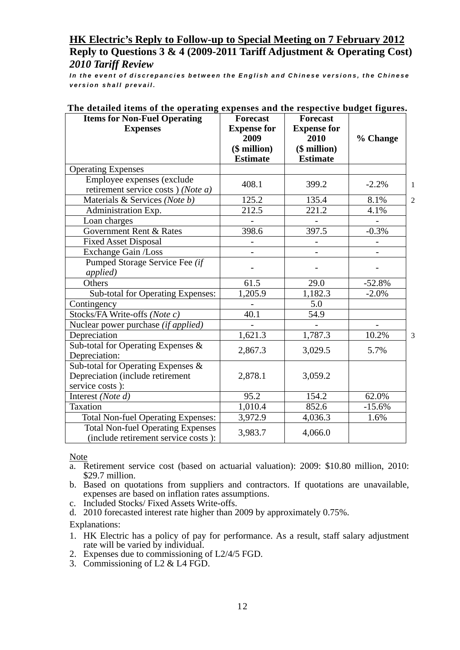*In the event of discrepancies between the English and Chinese versions, the Chinese version shall prevail.*

| <b>Items for Non-Fuel Operating</b><br><b>Expenses</b>                                    | <b>Forecast</b><br><b>Expense for</b><br>2009<br>$($$ million $)$<br><b>Estimate</b> | <b>Forecast</b><br><b>Expense for</b><br>2010<br>$($$ million $)$<br><b>Estimate</b> | % Change |                |
|-------------------------------------------------------------------------------------------|--------------------------------------------------------------------------------------|--------------------------------------------------------------------------------------|----------|----------------|
| <b>Operating Expenses</b>                                                                 |                                                                                      |                                                                                      |          |                |
| Employee expenses (exclude<br>retirement service costs) (Note a)                          | 408.1                                                                                | 399.2                                                                                | $-2.2%$  | 1              |
| Materials & Services (Note b)                                                             | 125.2                                                                                | 135.4                                                                                | 8.1%     | $\overline{2}$ |
| Administration Exp.                                                                       | 212.5                                                                                | 221.2                                                                                | 4.1%     |                |
| Loan charges                                                                              |                                                                                      |                                                                                      |          |                |
| Government Rent & Rates                                                                   | 398.6                                                                                | $\overline{397.5}$                                                                   | $-0.3%$  |                |
| <b>Fixed Asset Disposal</b>                                                               |                                                                                      |                                                                                      |          |                |
| <b>Exchange Gain /Loss</b>                                                                |                                                                                      |                                                                                      |          |                |
| Pumped Storage Service Fee (if<br><i>applied</i> )                                        |                                                                                      |                                                                                      |          |                |
| Others                                                                                    | 61.5                                                                                 | 29.0                                                                                 | $-52.8%$ |                |
| Sub-total for Operating Expenses:                                                         | 1,205.9                                                                              | $1,\overline{182.3}$                                                                 | $-2.0%$  |                |
| Contingency                                                                               |                                                                                      | 5.0                                                                                  |          |                |
| Stocks/FA Write-offs (Note c)                                                             | 40.1                                                                                 | 54.9                                                                                 |          |                |
| Nuclear power purchase (if applied)                                                       |                                                                                      |                                                                                      |          |                |
| Depreciation                                                                              | 1,621.3                                                                              | 1,787.3                                                                              | 10.2%    | 3              |
| Sub-total for Operating Expenses &<br>Depreciation:                                       | 2,867.3                                                                              | 3,029.5                                                                              | 5.7%     |                |
| Sub-total for Operating Expenses &<br>Depreciation (include retirement<br>service costs): | 2,878.1                                                                              | 3,059.2                                                                              |          |                |
| Interest (Note d)                                                                         | 95.2                                                                                 | 154.2                                                                                | 62.0%    |                |
| Taxation                                                                                  | 1,010.4                                                                              | 852.6                                                                                | $-15.6%$ |                |
| <b>Total Non-fuel Operating Expenses:</b>                                                 | 3,972.9                                                                              | 4,036.3                                                                              | 1.6%     |                |
| <b>Total Non-fuel Operating Expenses</b><br>(include retirement service costs):           | 3,983.7                                                                              | 4,066.0                                                                              |          |                |

### **The detailed items of the operating expenses and the respective budget figures.**

**Note** 

- a. Retirement service cost (based on actuarial valuation): 2009: \$10.80 million, 2010: \$29.7 million.
- b. Based on quotations from suppliers and contractors. If quotations are unavailable, expenses are based on inflation rates assumptions.
- c. Included Stocks/ Fixed Assets Write-offs.
- d. 2010 forecasted interest rate higher than 2009 by approximately 0.75%.

Explanations:

- 1. HK Electric has a policy of pay for performance. As a result, staff salary adjustment rate will be varied by individual.
- 2. Expenses due to commissioning of L2/4/5 FGD.
- 3. Commissioning of L2 & L4 FGD.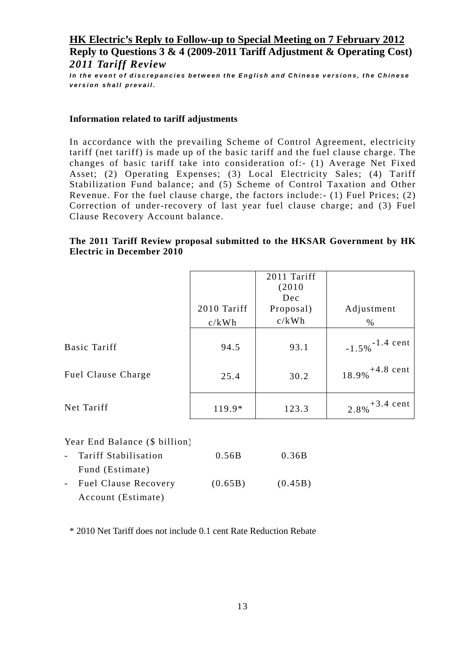*In the event of discrepancies between the English and Chinese versions, the Chinese version shall prevail.*

#### **Information related to tariff adjustments**

In accordance with the prevailing Scheme of Control Agreement, electricity tariff (net tariff) is made up of the basic tariff and the fuel clause charge. The changes of basic tariff take into consideration of:- (1) Average Net Fixed Asset; (2) Operating Expenses; (3) Local Electricity Sales; (4) Tariff Stabilization Fund balance; and (5) Scheme of Control Taxation and Other Revenue. For the fuel clause charge, the factors include:- (1) Fuel Prices; (2) Correction of under-recovery of last year fuel clause charge; and (3) Fuel Clause Recovery Account balance.

### **The 2011 Tariff Review proposal submitted to the HKSAR Government by HK Electric in December 2010**

|                           |             | 2011 Tariff |                               |
|---------------------------|-------------|-------------|-------------------------------|
|                           |             | (2010)      |                               |
|                           |             | Dec         |                               |
|                           | 2010 Tariff | Proposal)   | Adjustment                    |
|                           | c/kWh       | c/kWh       | $\%$                          |
|                           |             |             |                               |
| Basic Tariff              | 94.5        | 93.1        | $-1.5\%$ <sup>-1.4</sup> cent |
|                           |             |             |                               |
| <b>Fuel Clause Charge</b> | 25.4        | 30.2        | $18.9\%$ <sup>+4.8</sup> cent |
|                           |             |             |                               |
| Net Tariff                | 119.9*      | 123.3       | $2.8\%$ <sup>+3.4</sup> cent  |

#### Year End Balance (\$ billion)

| - Tariff Stabilisation | 0.56B   | 0.36B   |
|------------------------|---------|---------|
| Fund (Estimate)        |         |         |
| - Fuel Clause Recovery | (0.65B) | (0.45B) |
| Account (Estimate)     |         |         |

\* 2010 Net Tariff does not include 0.1 cent Rate Reduction Rebate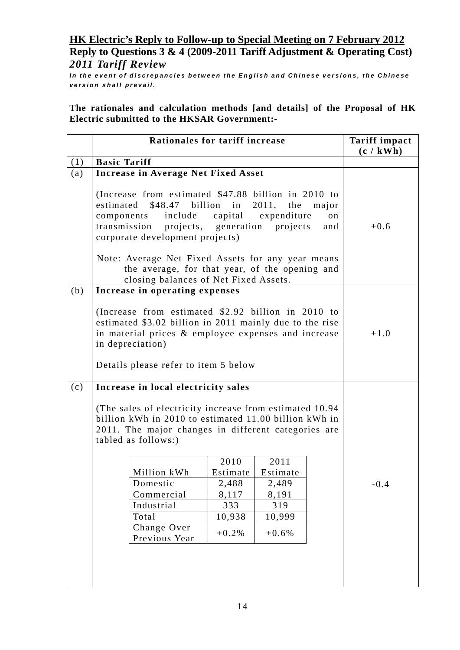*In the event of discrepancies between the English and Chinese versions, the Chinese version shall prevail.*

**The rationales and calculation methods [and details] of the Proposal of HK Electric submitted to the HKSAR Government:-** 

|     | Rationales for tariff increase                                                                                                                                                                                                   |                |                                      |                    | <b>Tariff impact</b><br>(c / kWh) |
|-----|----------------------------------------------------------------------------------------------------------------------------------------------------------------------------------------------------------------------------------|----------------|--------------------------------------|--------------------|-----------------------------------|
| (1) | <b>Basic Tariff</b>                                                                                                                                                                                                              |                |                                      |                    |                                   |
| (a) | <b>Increase in Average Net Fixed Asset</b>                                                                                                                                                                                       |                |                                      |                    |                                   |
|     | (Increase from estimated \$47.88 billion in 2010 to<br>$$48.47$ billion in<br>estimated<br>include<br>components<br>transmission<br>projects, generation<br>corporate development projects)                                      | capital        | 2011, the<br>expenditure<br>projects | major<br>on<br>and | $+0.6$                            |
|     | Note: Average Net Fixed Assets for any year means<br>the average, for that year, of the opening and<br>closing balances of Net Fixed Assets.                                                                                     |                |                                      |                    |                                   |
| (b) | Increase in operating expenses                                                                                                                                                                                                   |                |                                      |                    |                                   |
|     | (Increase from estimated \$2.92 billion in 2010 to<br>estimated \$3.02 billion in 2011 mainly due to the rise<br>in material prices & employee expenses and increase<br>in depreciation)<br>Details please refer to item 5 below |                |                                      |                    | $+1.0$                            |
| (c) | Increase in local electricity sales                                                                                                                                                                                              |                |                                      |                    |                                   |
|     | (The sales of electricity increase from estimated 10.94)<br>billion kWh in 2010 to estimated 11.00 billion kWh in<br>2011. The major changes in different categories are<br>tabled as follows:)                                  |                |                                      |                    |                                   |
|     |                                                                                                                                                                                                                                  | 2010           | 2011                                 |                    |                                   |
|     | Million kWh                                                                                                                                                                                                                      | Estimate       | Estimate                             |                    |                                   |
|     | Domestic<br>Commercial                                                                                                                                                                                                           | 2,488<br>8,117 | 2,489<br>8,191                       |                    | $-0.4$                            |
|     | Industrial                                                                                                                                                                                                                       | 333            | 319                                  |                    |                                   |
|     | Total                                                                                                                                                                                                                            | 10,938         | 10,999                               |                    |                                   |
|     | Change Over<br>Previous Year                                                                                                                                                                                                     | $+0.2%$        | $+0.6%$                              |                    |                                   |
|     |                                                                                                                                                                                                                                  |                |                                      |                    |                                   |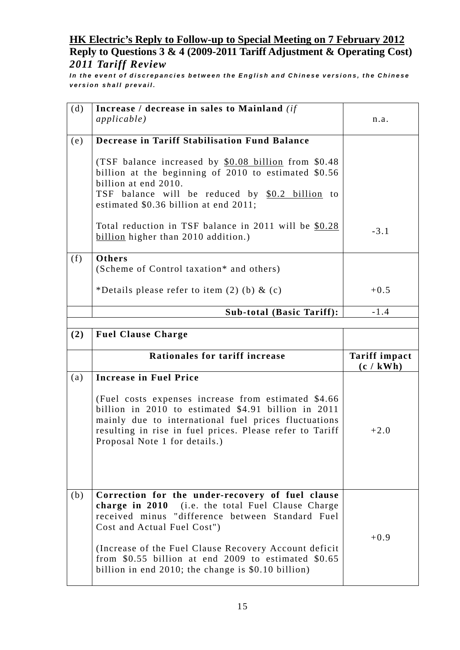*In the event of discrepancies between the English and Chinese versions, the Chinese version shall prevail.*

| (d) | Increase / decrease in sales to Mainland (if                                                                                                                                                                                                                     |                                   |
|-----|------------------------------------------------------------------------------------------------------------------------------------------------------------------------------------------------------------------------------------------------------------------|-----------------------------------|
|     | <i>applicable</i> )                                                                                                                                                                                                                                              | n.a.                              |
| (e) | <b>Decrease in Tariff Stabilisation Fund Balance</b>                                                                                                                                                                                                             |                                   |
|     | (TSF balance increased by \$0.08 billion from \$0.48)<br>billion at the beginning of 2010 to estimated \$0.56<br>billion at end 2010.<br>TSF balance will be reduced by \$0.2 billion to<br>estimated \$0.36 billion at end 2011;                                |                                   |
|     | Total reduction in TSF balance in 2011 will be \$0.28<br>billion higher than 2010 addition.)                                                                                                                                                                     | $-3.1$                            |
| (f) | Others<br>(Scheme of Control taxation* and others)                                                                                                                                                                                                               |                                   |
|     | *Details please refer to item $(2)$ (b) & $(c)$                                                                                                                                                                                                                  | $+0.5$                            |
|     | <b>Sub-total (Basic Tariff):</b>                                                                                                                                                                                                                                 | $-1.4$                            |
|     |                                                                                                                                                                                                                                                                  |                                   |
| (2) | <b>Fuel Clause Charge</b>                                                                                                                                                                                                                                        |                                   |
|     |                                                                                                                                                                                                                                                                  |                                   |
|     | Rationales for tariff increase                                                                                                                                                                                                                                   | <b>Tariff impact</b><br>(c / kWh) |
| (a) | <b>Increase in Fuel Price</b>                                                                                                                                                                                                                                    |                                   |
|     | (Fuel costs expenses increase from estimated \$4.66)<br>billion in 2010 to estimated \$4.91 billion in 2011<br>mainly due to international fuel prices fluctuations<br>resulting in rise in fuel prices. Please refer to Tariff<br>Proposal Note 1 for details.) | $+2.0$                            |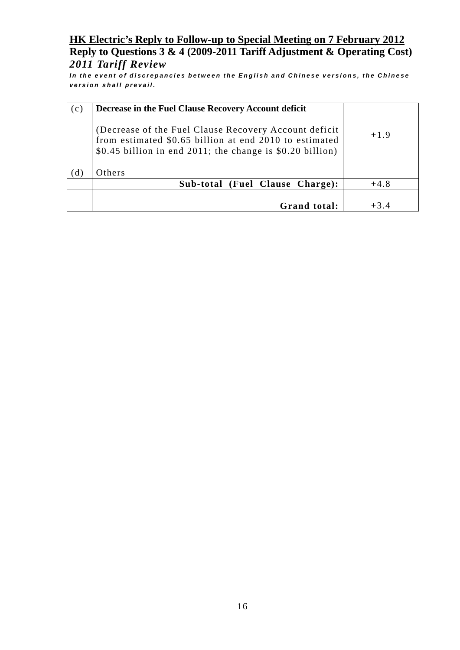*In the event of discrepancies between the English and Chinese versions, the Chinese version shall prevail.*

| (c) | Decrease in the Fuel Clause Recovery Account deficit                                                                                                                         |        |
|-----|------------------------------------------------------------------------------------------------------------------------------------------------------------------------------|--------|
|     | (Decrease of the Fuel Clause Recovery Account deficit<br>from estimated \$0.65 billion at end 2010 to estimated<br>\$0.45 billion in end 2011; the change is \$0.20 billion) | $+1.9$ |
| (d) | Others                                                                                                                                                                       |        |
|     | Sub-total (Fuel Clause Charge):                                                                                                                                              | $+4.8$ |
|     |                                                                                                                                                                              |        |
|     | Grand total:                                                                                                                                                                 | $+3.4$ |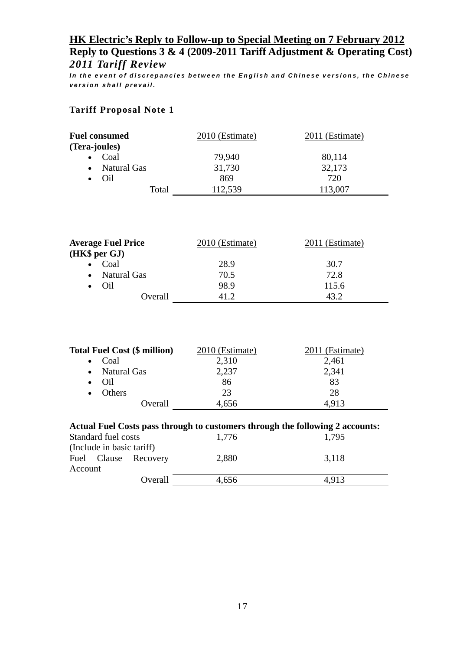*In the event of discrepancies between the English and Chinese versions, the Chinese version shall prevail.*

### **Tariff Proposal Note 1**

| <b>Fuel consumed</b>     | 2010 (Estimate) | 2011 (Estimate) |
|--------------------------|-----------------|-----------------|
| (Tera-joules)            |                 |                 |
| Coal                     | 79,940          | 80,114          |
| Natural Gas<br>$\bullet$ | 31,730          | 32,173          |
| Oil                      | 869             | 720             |
| Total                    | 112,539         | 13,007          |

| <b>Average Fuel Price</b> | 2010 (Estimate) | 2011 (Estimate) |
|---------------------------|-----------------|-----------------|
| (HK\$ per GJ)             |                 |                 |
| Coal<br>$\bullet$         | 28.9            | 30.7            |
| • Natural Gas             | 70.5            | 72.8            |
| $\bullet$ Oil             | 98.9            | 115.6           |
| Overall                   |                 | 43 Z            |

| <b>Total Fuel Cost (\$ million)</b>                                           | 2010 (Estimate) | 2011 (Estimate) |  |
|-------------------------------------------------------------------------------|-----------------|-----------------|--|
| Coal<br>$\bullet$                                                             | 2,310           | 2,461           |  |
| • Natural Gas                                                                 | 2,237           | 2,341           |  |
| Oil<br>$\bullet$                                                              | 86              | 83              |  |
| Others<br>$\bullet$                                                           | 23              | 28              |  |
| Overall                                                                       | 4,656           | 4.913           |  |
| Actual Fuel Costs pass through to customers through the following 2 accounts: |                 |                 |  |

|                           |         | Actual Fuel Costs pass through to customers through the following $\mu$ accounts. |       |  |  |
|---------------------------|---------|-----------------------------------------------------------------------------------|-------|--|--|
| Standard fuel costs       |         | 1,776                                                                             | 1.795 |  |  |
| (Include in basic tariff) |         |                                                                                   |       |  |  |
| Fuel Clause Recovery      |         | 2,880                                                                             | 3,118 |  |  |
| Account                   |         |                                                                                   |       |  |  |
|                           | Overall | 4,656                                                                             | 4.913 |  |  |
|                           |         |                                                                                   |       |  |  |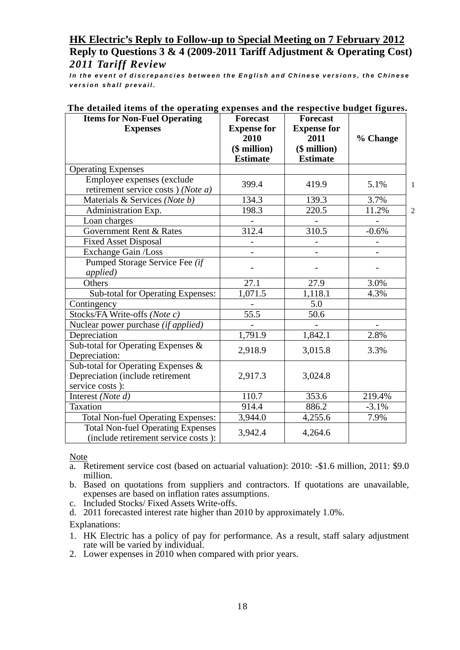*In the event of discrepancies between the English and Chinese versions, the Chinese version shall prevail.*

| <b>Items for Non-Fuel Operating</b>       | <b>Forecast</b>    | <b>Forecast</b>    |          |                |
|-------------------------------------------|--------------------|--------------------|----------|----------------|
| <b>Expenses</b>                           | <b>Expense for</b> | <b>Expense for</b> |          |                |
|                                           | 2010               | 2011               | % Change |                |
|                                           | $($$ million $)$   | $($$ million $)$   |          |                |
|                                           | <b>Estimate</b>    | <b>Estimate</b>    |          |                |
| <b>Operating Expenses</b>                 |                    |                    |          |                |
| Employee expenses (exclude                | 399.4              | 419.9              | 5.1%     | 1              |
| retirement service costs) (Note a)        |                    |                    |          |                |
| Materials & Services (Note b)             | 134.3              | 139.3              | 3.7%     |                |
| Administration Exp.                       | 198.3              | $\overline{220.5}$ | 11.2%    | $\overline{2}$ |
| Loan charges                              |                    |                    |          |                |
| Government Rent & Rates                   | 312.4              | 310.5              | $-0.6%$  |                |
| <b>Fixed Asset Disposal</b>               | $\qquad \qquad -$  |                    |          |                |
| Exchange Gain /Loss                       |                    |                    |          |                |
| Pumped Storage Service Fee (if            |                    |                    |          |                |
| applied)                                  |                    |                    |          |                |
| Others                                    | 27.1               | 27.9               | 3.0%     |                |
| Sub-total for Operating Expenses:         | 1,071.5            | 1,118.1            | 4.3%     |                |
| Contingency                               |                    | 5.0                |          |                |
| Stocks/FA Write-offs (Note c)             | 55.5               | $\overline{50.6}$  |          |                |
| Nuclear power purchase (if applied)       |                    |                    |          |                |
| Depreciation                              | 1,791.9            | 1,842.1            | 2.8%     |                |
| Sub-total for Operating Expenses &        |                    |                    |          |                |
| Depreciation:                             | 2,918.9            | 3,015.8            | 3.3%     |                |
| Sub-total for Operating Expenses &        |                    |                    |          |                |
| Depreciation (include retirement          | 2,917.3            | 3,024.8            |          |                |
| service costs):                           |                    |                    |          |                |
| Interest (Note d)                         | 110.7              | 353.6              | 219.4%   |                |
| Taxation                                  | 914.4              | 886.2              | $-3.1%$  |                |
| <b>Total Non-fuel Operating Expenses:</b> | 3,944.0            | 4,255.6            | 7.9%     |                |
| <b>Total Non-fuel Operating Expenses</b>  |                    |                    |          |                |
| (include retirement service costs):       | 3,942.4            | 4,264.6            |          |                |

### **The detailed items of the operating expenses and the respective budget figures.**

**Note** 

- a. Retirement service cost (based on actuarial valuation): 2010: -\$1.6 million, 2011: \$9.0 million.
- b. Based on quotations from suppliers and contractors. If quotations are unavailable, expenses are based on inflation rates assumptions.
- c. Included Stocks/ Fixed Assets Write-offs.
- d. 2011 forecasted interest rate higher than 2010 by approximately 1.0%.

Explanations:

- 1. HK Electric has a policy of pay for performance. As a result, staff salary adjustment rate will be varied by individual.
- 2. Lower expenses in 2010 when compared with prior years.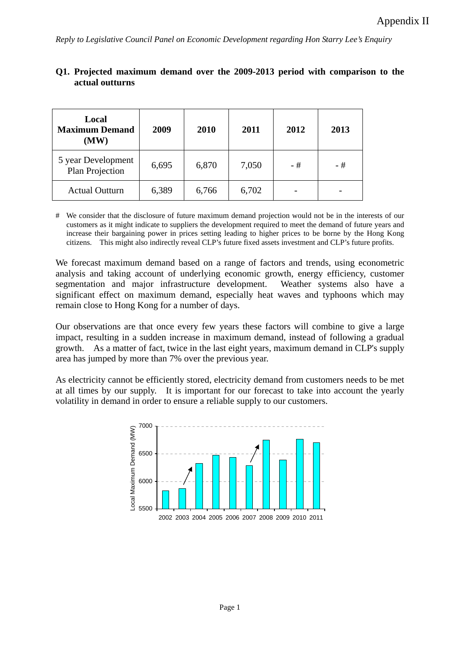| Local<br><b>Maximum Demand</b><br>(MW) | 2009  | 2010  | 2011  | 2012 | 2013 |
|----------------------------------------|-------|-------|-------|------|------|
| 5 year Development<br>Plan Projection  | 6,695 | 6,870 | 7,050 | - #  | - #  |
| <b>Actual Outturn</b>                  | 6,389 | 6,766 | 6,702 |      |      |

### **Q1. Projected maximum demand over the 2009-2013 period with comparison to the actual outturns**

# We consider that the disclosure of future maximum demand projection would not be in the interests of our customers as it might indicate to suppliers the development required to meet the demand of future years and increase their bargaining power in prices setting leading to higher prices to be borne by the Hong Kong citizens. This might also indirectly reveal CLP's future fixed assets investment and CLP's future profits.

We forecast maximum demand based on a range of factors and trends, using econometric analysis and taking account of underlying economic growth, energy efficiency, customer segmentation and major infrastructure development. Weather systems also have a significant effect on maximum demand, especially heat waves and typhoons which may remain close to Hong Kong for a number of days.

Our observations are that once every few years these factors will combine to give a large impact, resulting in a sudden increase in maximum demand, instead of following a gradual growth. As a matter of fact, twice in the last eight years, maximum demand in CLP's supply area has jumped by more than 7% over the previous year.

As electricity cannot be efficiently stored, electricity demand from customers needs to be met at all times by our supply. It is important for our forecast to take into account the yearly volatility in demand in order to ensure a reliable supply to our customers.

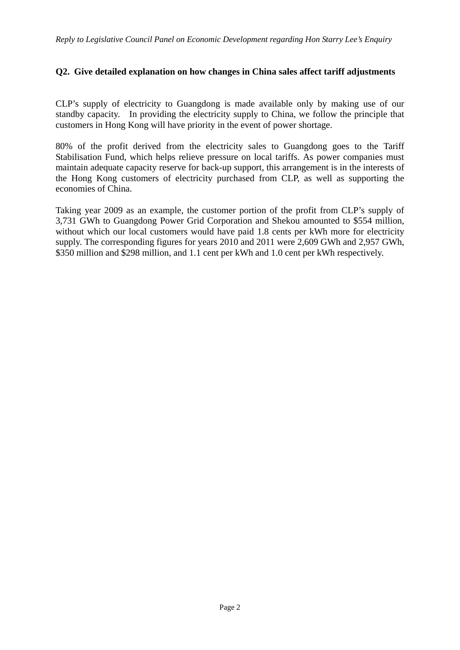### **Q2. Give detailed explanation on how changes in China sales affect tariff adjustments**

CLP's supply of electricity to Guangdong is made available only by making use of our standby capacity. In providing the electricity supply to China, we follow the principle that customers in Hong Kong will have priority in the event of power shortage.

80% of the profit derived from the electricity sales to Guangdong goes to the Tariff Stabilisation Fund, which helps relieve pressure on local tariffs. As power companies must maintain adequate capacity reserve for back-up support, this arrangement is in the interests of the Hong Kong customers of electricity purchased from CLP, as well as supporting the economies of China.

Taking year 2009 as an example, the customer portion of the profit from CLP's supply of 3,731 GWh to Guangdong Power Grid Corporation and Shekou amounted to \$554 million, without which our local customers would have paid 1.8 cents per kWh more for electricity supply. The corresponding figures for years 2010 and 2011 were 2,609 GWh and 2,957 GWh, \$350 million and \$298 million, and 1.1 cent per kWh and 1.0 cent per kWh respectively.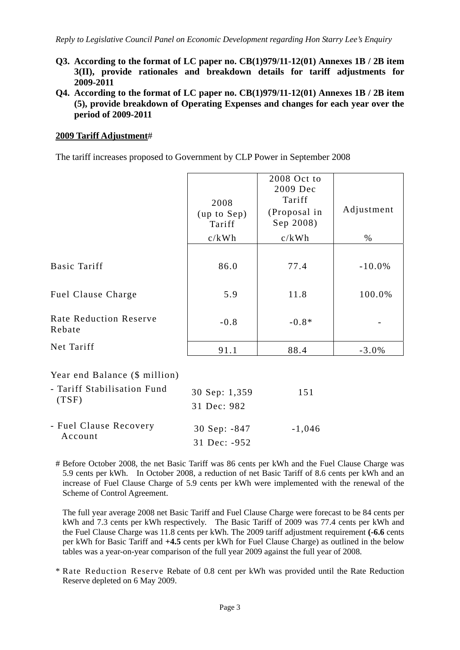- **Q3. According to the format of LC paper no. CB(1)979/11-12(01) Annexes 1B / 2B item 3(II), provide rationales and breakdown details for tariff adjustments for 2009-2011**
- **Q4. According to the format of LC paper no. CB(1)979/11-12(01) Annexes 1B / 2B item (5), provide breakdown of Operating Expenses and changes for each year over the period of 2009-2011**

### **2009 Tariff Adjustment**#

The tariff increases proposed to Government by CLP Power in September 2008

|                                                              |                               | 2008 Oct to<br>2009 Dec             |            |
|--------------------------------------------------------------|-------------------------------|-------------------------------------|------------|
|                                                              | 2008<br>(up to Sep)<br>Tariff | Tariff<br>(Proposal in<br>Sep 2008) | Adjustment |
|                                                              | c/kWh                         | c/kWh                               | $\%$       |
| Basic Tariff                                                 | 86.0                          | 77.4                                | $-10.0\%$  |
| <b>Fuel Clause Charge</b>                                    | 5.9                           | 11.8                                | 100.0%     |
| <b>Rate Reduction Reserve</b><br>Rebate                      | $-0.8$                        | $-0.8*$                             |            |
| Net Tariff                                                   | 91.1                          | 88.4                                | $-3.0%$    |
| Year end Balance (\$ million)<br>- Tariff Stabilisation Fund | 30 Sep: 1,359                 | 151                                 |            |
| (TSF)                                                        | 31 Dec: 982                   |                                     |            |
| - Fuel Clause Recovery                                       | 30 Sep: -847                  | $-1,046$                            |            |

- Fuel Clause Recovery Account 30 Sep: -847 31 Dec: -952 # Before October 2008, the net Basic Tariff was 86 cents per kWh and the Fuel Clause Charge was

5.9 cents per kWh. In October 2008, a reduction of net Basic Tariff of 8.6 cents per kWh and an increase of Fuel Clause Charge of 5.9 cents per kWh were implemented with the renewal of the Scheme of Control Agreement.

 The full year average 2008 net Basic Tariff and Fuel Clause Charge were forecast to be 84 cents per kWh and 7.3 cents per kWh respectively. The Basic Tariff of 2009 was 77.4 cents per kWh and the Fuel Clause Charge was 11.8 cents per kWh. The 2009 tariff adjustment requirement **(-6.6** cents per kWh for Basic Tariff and **+4.5** cents per kWh for Fuel Clause Charge) as outlined in the below tables was a year-on-year comparison of the full year 2009 against the full year of 2008.

\* Rate Reduction Reserve Rebate of 0.8 cent per kWh was provided until the Rate Reduction Reserve depleted on 6 May 2009.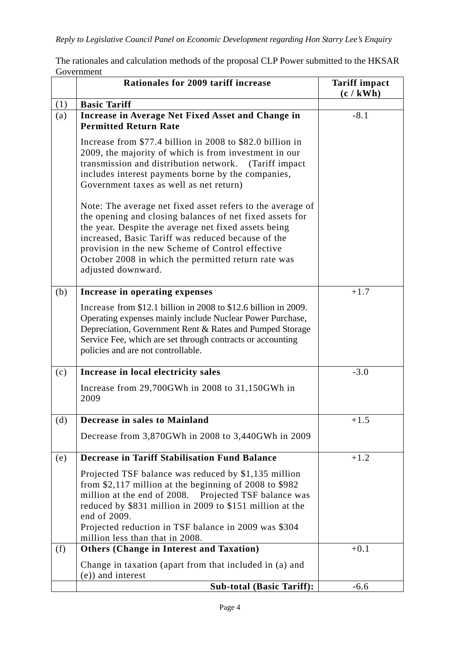The rationales and calculation methods of the proposal CLP Power submitted to the HKSAR Government

|     | Rationales for 2009 tariff increase                                                                                                                                                                                                                                                                                                                                   | <b>Tariff impact</b><br>(c / kWh) |
|-----|-----------------------------------------------------------------------------------------------------------------------------------------------------------------------------------------------------------------------------------------------------------------------------------------------------------------------------------------------------------------------|-----------------------------------|
| (1) | <b>Basic Tariff</b>                                                                                                                                                                                                                                                                                                                                                   |                                   |
| (a) | Increase in Average Net Fixed Asset and Change in<br><b>Permitted Return Rate</b>                                                                                                                                                                                                                                                                                     | $-8.1$                            |
|     | Increase from \$77.4 billion in 2008 to \$82.0 billion in<br>2009, the majority of which is from investment in our<br>transmission and distribution network. (Tariff impact<br>includes interest payments borne by the companies,<br>Government taxes as well as net return)                                                                                          |                                   |
|     | Note: The average net fixed asset refers to the average of<br>the opening and closing balances of net fixed assets for<br>the year. Despite the average net fixed assets being<br>increased, Basic Tariff was reduced because of the<br>provision in the new Scheme of Control effective<br>October 2008 in which the permitted return rate was<br>adjusted downward. |                                   |
| (b) | Increase in operating expenses                                                                                                                                                                                                                                                                                                                                        | $+1.7$                            |
|     | Increase from \$12.1 billion in 2008 to \$12.6 billion in 2009.<br>Operating expenses mainly include Nuclear Power Purchase,<br>Depreciation, Government Rent & Rates and Pumped Storage<br>Service Fee, which are set through contracts or accounting<br>policies and are not controllable.                                                                          |                                   |
| (c) | Increase in local electricity sales                                                                                                                                                                                                                                                                                                                                   | $-3.0$                            |
|     | Increase from 29,700GWh in 2008 to 31,150GWh in<br>2009                                                                                                                                                                                                                                                                                                               |                                   |
| (d) | Decrease in sales to Mainland                                                                                                                                                                                                                                                                                                                                         | $+1.5$                            |
|     | Decrease from 3,870GWh in 2008 to 3,440GWh in 2009                                                                                                                                                                                                                                                                                                                    |                                   |
| (e) | <b>Decrease in Tariff Stabilisation Fund Balance</b>                                                                                                                                                                                                                                                                                                                  | $+1.2$                            |
|     | Projected TSF balance was reduced by \$1,135 million<br>from $$2,117$ million at the beginning of 2008 to $$982$<br>million at the end of 2008. Projected TSF balance was<br>reduced by \$831 million in 2009 to \$151 million at the<br>end of 2009.<br>Projected reduction in TSF balance in 2009 was \$304<br>million less than that in 2008.                      |                                   |
| (f) | <b>Others (Change in Interest and Taxation)</b>                                                                                                                                                                                                                                                                                                                       | $+0.1$                            |
|     | Change in taxation (apart from that included in (a) and<br>(e)) and interest                                                                                                                                                                                                                                                                                          |                                   |
|     | <b>Sub-total (Basic Tariff):</b>                                                                                                                                                                                                                                                                                                                                      | $-6.6$                            |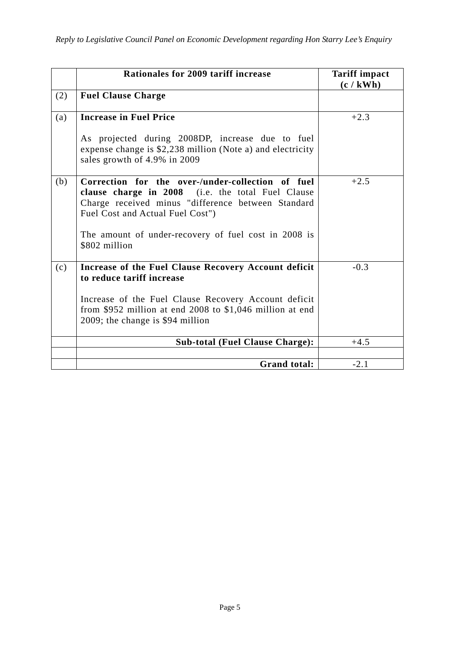|     | Rationales for 2009 tariff increase                                                                                                                                                              | <b>Tariff impact</b><br>(c / kWh) |
|-----|--------------------------------------------------------------------------------------------------------------------------------------------------------------------------------------------------|-----------------------------------|
| (2) | <b>Fuel Clause Charge</b>                                                                                                                                                                        |                                   |
| (a) | <b>Increase in Fuel Price</b>                                                                                                                                                                    | $+2.3$                            |
|     | As projected during 2008DP, increase due to fuel<br>expense change is \$2,238 million (Note a) and electricity<br>sales growth of 4.9% in 2009                                                   |                                   |
| (b) | Correction for the over-/under-collection of fuel<br>clause charge in 2008 (i.e. the total Fuel Clause<br>Charge received minus "difference between Standard<br>Fuel Cost and Actual Fuel Cost") | $+2.5$                            |
|     | The amount of under-recovery of fuel cost in 2008 is<br>\$802 million                                                                                                                            |                                   |
| (c) | Increase of the Fuel Clause Recovery Account deficit<br>to reduce tariff increase                                                                                                                | $-0.3$                            |
|     | Increase of the Fuel Clause Recovery Account deficit<br>from \$952 million at end $2008$ to \$1,046 million at end<br>2009; the change is \$94 million                                           |                                   |
|     | <b>Sub-total (Fuel Clause Charge):</b>                                                                                                                                                           | $+4.5$                            |
|     |                                                                                                                                                                                                  |                                   |
|     | <b>Grand total:</b>                                                                                                                                                                              | $-2.1$                            |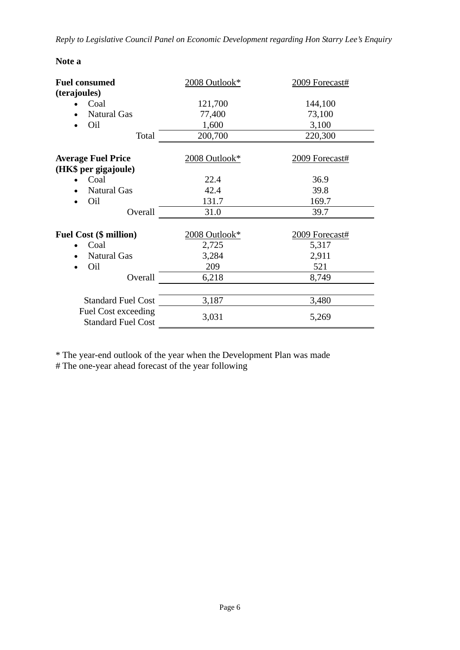*Reply to Legislative Council Panel on Economic Development regarding Hon Starry Lee's Enquiry* 

| <b>Note</b> |  |
|-------------|--|
|-------------|--|

| <b>Fuel consumed</b>                                    | 2008 Outlook* | 2009 Forecast# |
|---------------------------------------------------------|---------------|----------------|
| (terajoules)                                            |               |                |
| Coal                                                    | 121,700       | 144,100        |
| <b>Natural Gas</b>                                      | 77,400        | 73,100         |
| Oil                                                     | 1,600         | 3,100          |
| Total                                                   | 200,700       | 220,300        |
| <b>Average Fuel Price</b>                               | 2008 Outlook* | 2009 Forecast# |
| (HK\$ per gigajoule)                                    |               |                |
| Coal                                                    | 22.4          | 36.9           |
| <b>Natural Gas</b>                                      | 42.4          | 39.8           |
| Oil                                                     | 131.7         | 169.7          |
| Overall                                                 | 31.0          | 39.7           |
| <b>Fuel Cost (\$ million)</b>                           | 2008 Outlook* | 2009 Forecast# |
| Coal                                                    | 2,725         | 5,317          |
| <b>Natural Gas</b>                                      | 3,284         | 2,911          |
| Oil                                                     | 209           | 521            |
| Overall                                                 | 6,218         | 8,749          |
|                                                         |               |                |
| <b>Standard Fuel Cost</b>                               | 3,187         | 3,480          |
| <b>Fuel Cost exceeding</b><br><b>Standard Fuel Cost</b> | 3,031         | 5,269          |

\* The year-end outlook of the year when the Development Plan was made

# The one-year ahead forecast of the year following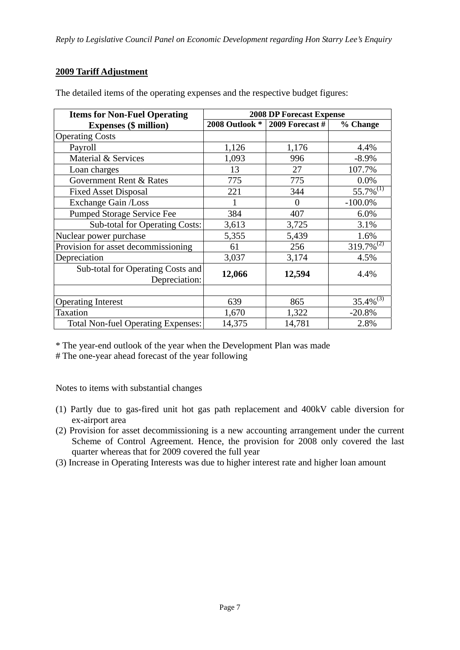### **2009 Tariff Adjustment**

| <b>Items for Non-Fuel Operating</b>                | <b>2008 DP Forecast Expense</b> |                   |                 |
|----------------------------------------------------|---------------------------------|-------------------|-----------------|
| <b>Expenses (\$ million)</b>                       | 2008 Outlook *                  | $2009$ Forecast # | % Change        |
| <b>Operating Costs</b>                             |                                 |                   |                 |
| Payroll                                            | 1,126                           | 1,176             | 4.4%            |
| Material & Services                                | 1,093                           | 996               | $-8.9\%$        |
| Loan charges                                       | 13                              | 27                | 107.7%          |
| Government Rent & Rates                            | 775                             | 775               | 0.0%            |
| <b>Fixed Asset Disposal</b>                        | 221                             | 344               | $55.7\%^{(1)}$  |
| Exchange Gain /Loss                                | 1                               | $\overline{0}$    | $-100.0\%$      |
| Pumped Storage Service Fee                         | 384                             | 407               | 6.0%            |
| <b>Sub-total for Operating Costs:</b>              | 3,613                           | 3,725             | 3.1%            |
| Nuclear power purchase                             | 5,355                           | 5,439             | 1.6%            |
| Provision for asset decommissioning                | 61                              | 256               | $319.7\%^{(2)}$ |
| Depreciation                                       | 3,037                           | 3,174             | 4.5%            |
| Sub-total for Operating Costs and<br>Depreciation: | 12,066                          | 12,594            | 4.4%            |
|                                                    |                                 |                   |                 |
| <b>Operating Interest</b>                          | 639                             | 865               | $35.4\%^{(3)}$  |
| Taxation                                           | 1,670                           | 1,322             | $-20.8%$        |
| <b>Total Non-fuel Operating Expenses:</b>          | 14,375                          | 14,781            | 2.8%            |

The detailed items of the operating expenses and the respective budget figures:

\* The year-end outlook of the year when the Development Plan was made

# The one-year ahead forecast of the year following

Notes to items with substantial changes

- (1) Partly due to gas-fired unit hot gas path replacement and 400kV cable diversion for ex-airport area
- (2) Provision for asset decommissioning is a new accounting arrangement under the current Scheme of Control Agreement. Hence, the provision for 2008 only covered the last quarter whereas that for 2009 covered the full year
- (3) Increase in Operating Interests was due to higher interest rate and higher loan amount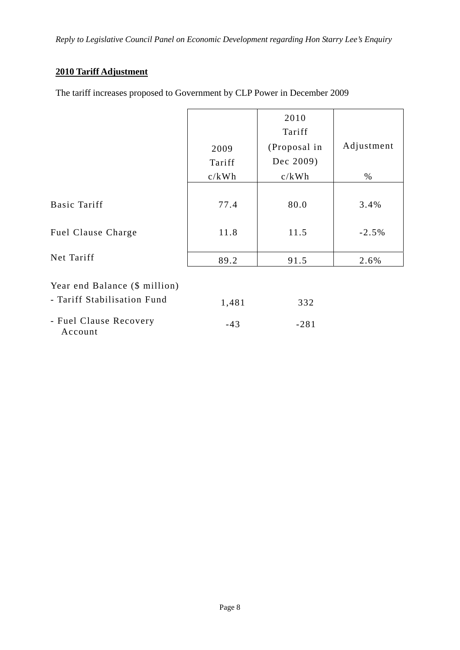### **2010 Tariff Adjustment**

The tariff increases proposed to Government by CLP Power in December 2009

|                                                              |                | 2010<br>Tariff            |            |
|--------------------------------------------------------------|----------------|---------------------------|------------|
|                                                              | 2009<br>Tariff | (Proposal in<br>Dec 2009) | Adjustment |
|                                                              | c/kWh          | c/kWh                     | $\%$       |
| Basic Tariff                                                 | 77.4           | 80.0                      | 3.4%       |
| Fuel Clause Charge                                           | 11.8           | 11.5                      | $-2.5%$    |
|                                                              |                |                           |            |
| Net Tariff                                                   | 89.2           | 91.5                      | 2.6%       |
| Year end Balance (\$ million)<br>- Tariff Stabilisation Fund | 1,481          | 332                       |            |
|                                                              |                |                           |            |
| - Fuel Clause Recovery<br>Account                            | $-43$          | $-281$                    |            |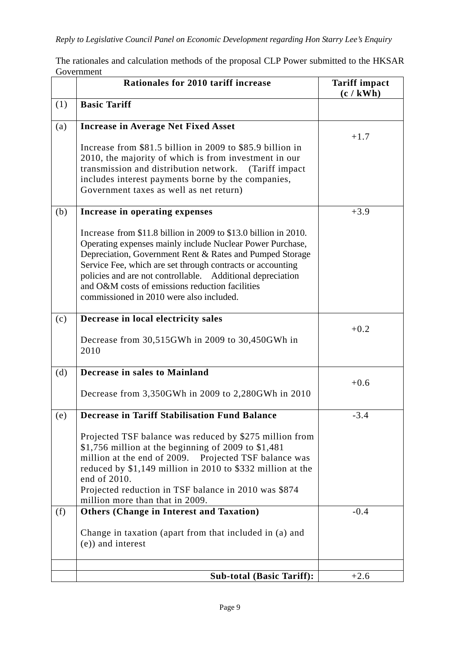The rationales and calculation methods of the proposal CLP Power submitted to the HKSAR Government

|     | Rationales for 2010 tariff increase                                                                                                                                                                                                                                                                                                                                                                                 | <b>Tariff impact</b><br>(c / kWh) |
|-----|---------------------------------------------------------------------------------------------------------------------------------------------------------------------------------------------------------------------------------------------------------------------------------------------------------------------------------------------------------------------------------------------------------------------|-----------------------------------|
| (1) | <b>Basic Tariff</b>                                                                                                                                                                                                                                                                                                                                                                                                 |                                   |
| (a) | <b>Increase in Average Net Fixed Asset</b>                                                                                                                                                                                                                                                                                                                                                                          | $+1.7$                            |
|     | Increase from \$81.5 billion in 2009 to \$85.9 billion in<br>2010, the majority of which is from investment in our<br>transmission and distribution network.<br>(Tariff impact)<br>includes interest payments borne by the companies,<br>Government taxes as well as net return)                                                                                                                                    |                                   |
| (b) | Increase in operating expenses                                                                                                                                                                                                                                                                                                                                                                                      | $+3.9$                            |
|     | Increase from \$11.8 billion in 2009 to \$13.0 billion in 2010.<br>Operating expenses mainly include Nuclear Power Purchase,<br>Depreciation, Government Rent & Rates and Pumped Storage<br>Service Fee, which are set through contracts or accounting<br>policies and are not controllable. Additional depreciation<br>and O&M costs of emissions reduction facilities<br>commissioned in 2010 were also included. |                                   |
| (c) | Decrease in local electricity sales                                                                                                                                                                                                                                                                                                                                                                                 | $+0.2$                            |
|     | Decrease from 30,515GWh in 2009 to 30,450GWh in<br>2010                                                                                                                                                                                                                                                                                                                                                             |                                   |
| (d) | Decrease in sales to Mainland                                                                                                                                                                                                                                                                                                                                                                                       | $+0.6$                            |
|     | Decrease from 3,350GWh in 2009 to 2,280GWh in 2010                                                                                                                                                                                                                                                                                                                                                                  |                                   |
| (e) | <b>Decrease in Tariff Stabilisation Fund Balance</b>                                                                                                                                                                                                                                                                                                                                                                | $-3.4$                            |
|     | Projected TSF balance was reduced by \$275 million from<br>\$1,756 million at the beginning of 2009 to $$1,481$<br>million at the end of 2009. Projected TSF balance was<br>reduced by \$1,149 million in 2010 to \$332 million at the<br>end of 2010.<br>Projected reduction in TSF balance in 2010 was \$874<br>million more than that in 2009.                                                                   |                                   |
| (f) | <b>Others (Change in Interest and Taxation)</b>                                                                                                                                                                                                                                                                                                                                                                     | $-0.4$                            |
|     | Change in taxation (apart from that included in (a) and<br>(e)) and interest                                                                                                                                                                                                                                                                                                                                        |                                   |
|     | <b>Sub-total (Basic Tariff):</b>                                                                                                                                                                                                                                                                                                                                                                                    | $+2.6$                            |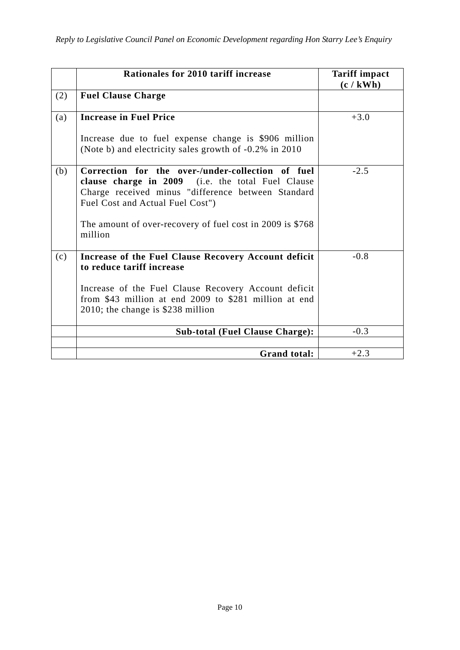|     | Rationales for 2010 tariff increase                                                                                                                                                              | <b>Tariff impact</b><br>(c / kWh) |
|-----|--------------------------------------------------------------------------------------------------------------------------------------------------------------------------------------------------|-----------------------------------|
| (2) | <b>Fuel Clause Charge</b>                                                                                                                                                                        |                                   |
| (a) | <b>Increase in Fuel Price</b>                                                                                                                                                                    | $+3.0$                            |
|     | Increase due to fuel expense change is \$906 million<br>(Note b) and electricity sales growth of -0.2% in 2010                                                                                   |                                   |
| (b) | Correction for the over-/under-collection of fuel<br>clause charge in 2009 (i.e. the total Fuel Clause<br>Charge received minus "difference between Standard<br>Fuel Cost and Actual Fuel Cost") | $-2.5$                            |
|     | The amount of over-recovery of fuel cost in 2009 is \$768<br>million                                                                                                                             |                                   |
| (c) | Increase of the Fuel Clause Recovery Account deficit<br>to reduce tariff increase                                                                                                                | $-0.8$                            |
|     | Increase of the Fuel Clause Recovery Account deficit<br>from \$43 million at end 2009 to \$281 million at end<br>2010; the change is \$238 million                                               |                                   |
|     | <b>Sub-total (Fuel Clause Charge):</b>                                                                                                                                                           | $-0.3$                            |
|     | <b>Grand total:</b>                                                                                                                                                                              | $+2.3$                            |
|     |                                                                                                                                                                                                  |                                   |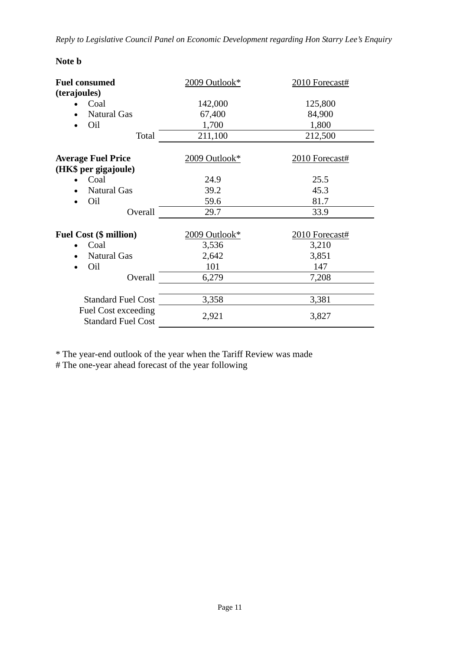### **Note b**

| <b>Fuel consumed</b>                             | 2009 Outlook*               | 2010 Forecast# |
|--------------------------------------------------|-----------------------------|----------------|
| (terajoules)                                     |                             |                |
| Coal                                             | 142,000                     | 125,800        |
| <b>Natural Gas</b>                               | 67,400                      | 84,900         |
| Oil                                              | 1,700                       | 1,800          |
| Total                                            | 211,100                     | 212,500        |
| <b>Average Fuel Price</b>                        | $2009$ Outlook <sup>*</sup> | 2010 Forecast# |
| (HK\$ per gigajoule)                             |                             |                |
| Coal                                             | 24.9                        | 25.5           |
| <b>Natural Gas</b>                               | 39.2                        | 45.3           |
| Oil                                              | 59.6                        | 81.7           |
| Overall                                          | 29.7                        | 33.9           |
| <b>Fuel Cost (\$ million)</b>                    | 2009 Outlook*               | 2010 Forecast# |
| Coal                                             | 3,536                       | 3,210          |
| <b>Natural Gas</b>                               | 2,642                       | 3,851          |
| Oil                                              | 101                         | 147            |
| Overall                                          | 6,279                       | 7,208          |
| <b>Standard Fuel Cost</b>                        | 3,358                       | 3,381          |
| Fuel Cost exceeding<br><b>Standard Fuel Cost</b> | 2,921                       | 3,827          |

\* The year-end outlook of the year when the Tariff Review was made

# The one-year ahead forecast of the year following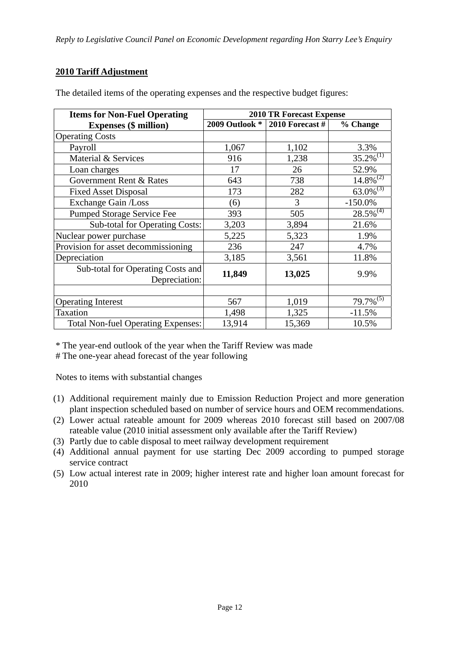### **2010 Tariff Adjustment**

| <b>Items for Non-Fuel Operating</b>                | <b>2010 TR Forecast Expense</b> |                   |                           |
|----------------------------------------------------|---------------------------------|-------------------|---------------------------|
| <b>Expenses (\$ million)</b>                       | 2009 Outlook *                  | 2010 Forecast $#$ | % Change                  |
| <b>Operating Costs</b>                             |                                 |                   |                           |
| Payroll                                            | 1,067                           | 1,102             | 3.3%                      |
| Material & Services                                | 916                             | 1,238             | $35.2\%^{(1)}$            |
| Loan charges                                       | 17                              | 26                | 52.9%                     |
| Government Rent & Rates                            | 643                             | 738               | $\overline{14.8\%}^{(2)}$ |
| <b>Fixed Asset Disposal</b>                        | 173                             | 282               | $63.0\%^{(3)}$            |
| Exchange Gain /Loss                                | (6)                             | 3                 | $-150.0\%$                |
| Pumped Storage Service Fee                         | 393                             | 505               | $28.5\%$ <sup>(4)</sup>   |
| Sub-total for Operating Costs:                     | 3,203                           | 3,894             | 21.6%                     |
| Nuclear power purchase                             | 5,225                           | 5,323             | 1.9%                      |
| Provision for asset decommissioning                | 236                             | 247               | 4.7%                      |
| Depreciation                                       | 3,185                           | 3,561             | 11.8%                     |
| Sub-total for Operating Costs and<br>Depreciation: | 11,849                          | 13,025            | 9.9%                      |
|                                                    |                                 |                   |                           |
| <b>Operating Interest</b>                          | 567                             | 1,019             | $79.7\%^{(5)}$            |
| Taxation                                           | 1,498                           | 1,325             | $-11.5%$                  |
| <b>Total Non-fuel Operating Expenses:</b>          | 13,914                          | 15,369            | 10.5%                     |

The detailed items of the operating expenses and the respective budget figures:

\* The year-end outlook of the year when the Tariff Review was made

# The one-year ahead forecast of the year following

Notes to items with substantial changes

- (1) Additional requirement mainly due to Emission Reduction Project and more generation plant inspection scheduled based on number of service hours and OEM recommendations.
- (2) Lower actual rateable amount for 2009 whereas 2010 forecast still based on 2007/08 rateable value (2010 initial assessment only available after the Tariff Review)
- (3) Partly due to cable disposal to meet railway development requirement
- (4) Additional annual payment for use starting Dec 2009 according to pumped storage service contract
- (5) Low actual interest rate in 2009; higher interest rate and higher loan amount forecast for 2010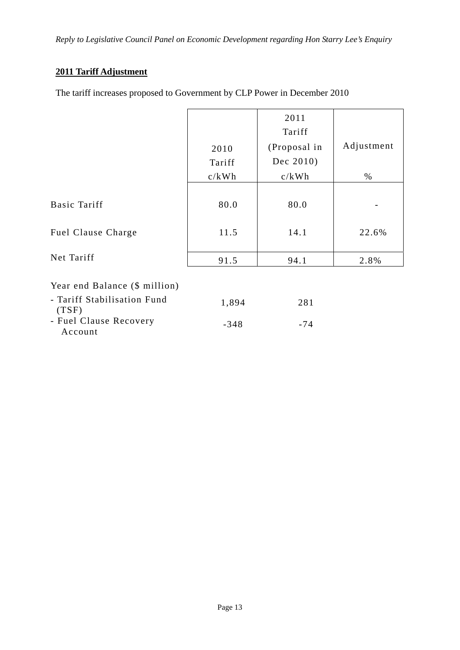### **2011 Tariff Adjustment**

The tariff increases proposed to Government by CLP Power in December 2010

|                                      |        | 2011<br>Tariff |            |
|--------------------------------------|--------|----------------|------------|
|                                      | 2010   | (Proposal in   | Adjustment |
|                                      | Tariff | Dec 2010)      |            |
|                                      | c/kWh  | c/kWh          | $\%$       |
| Basic Tariff                         | 80.0   | 80.0           |            |
| Fuel Clause Charge                   | 11.5   | 14.1           | 22.6%      |
| Net Tariff                           | 91.5   | 94.1           | 2.8%       |
| Year end Balance (\$ million)        |        |                |            |
| - Tariff Stabilisation Fund<br>(TSF) | 1,894  | 281            |            |
| - Fuel Clause Recovery<br>Account    | $-348$ | $-74$          |            |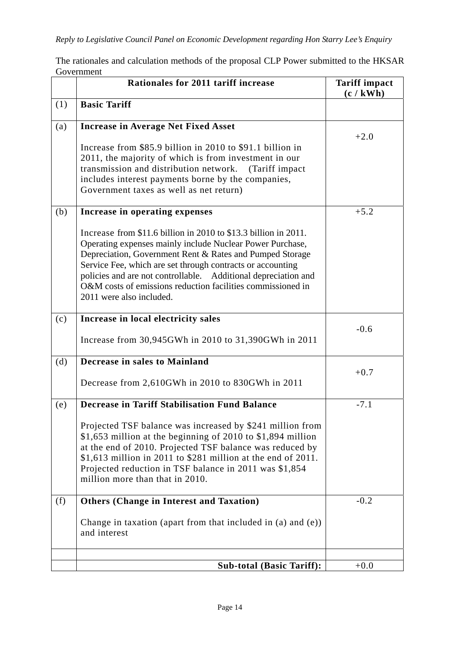The rationales and calculation methods of the proposal CLP Power submitted to the HKSAR Government

|     | Rationales for 2011 tariff increase                                                                                                                                                                                                                                                                                                                                                                                 | <b>Tariff impact</b><br>(c / kWh) |
|-----|---------------------------------------------------------------------------------------------------------------------------------------------------------------------------------------------------------------------------------------------------------------------------------------------------------------------------------------------------------------------------------------------------------------------|-----------------------------------|
| (1) | <b>Basic Tariff</b>                                                                                                                                                                                                                                                                                                                                                                                                 |                                   |
| (a) | <b>Increase in Average Net Fixed Asset</b>                                                                                                                                                                                                                                                                                                                                                                          | $+2.0$                            |
|     | Increase from \$85.9 billion in 2010 to \$91.1 billion in<br>2011, the majority of which is from investment in our<br>transmission and distribution network.<br>(Tariff impact)<br>includes interest payments borne by the companies,<br>Government taxes as well as net return)                                                                                                                                    |                                   |
| (b) | Increase in operating expenses                                                                                                                                                                                                                                                                                                                                                                                      | $+5.2$                            |
|     | Increase from \$11.6 billion in 2010 to \$13.3 billion in 2011.<br>Operating expenses mainly include Nuclear Power Purchase,<br>Depreciation, Government Rent & Rates and Pumped Storage<br>Service Fee, which are set through contracts or accounting<br>policies and are not controllable. Additional depreciation and<br>O&M costs of emissions reduction facilities commissioned in<br>2011 were also included. |                                   |
| (c) | Increase in local electricity sales                                                                                                                                                                                                                                                                                                                                                                                 | $-0.6$                            |
|     | Increase from 30,945GWh in 2010 to 31,390GWh in 2011                                                                                                                                                                                                                                                                                                                                                                |                                   |
| (d) | Decrease in sales to Mainland                                                                                                                                                                                                                                                                                                                                                                                       |                                   |
|     | Decrease from 2,610GWh in 2010 to 830GWh in 2011                                                                                                                                                                                                                                                                                                                                                                    | $+0.7$                            |
| (e) | <b>Decrease in Tariff Stabilisation Fund Balance</b>                                                                                                                                                                                                                                                                                                                                                                | $-7.1$                            |
|     | Projected TSF balance was increased by \$241 million from<br>\$1,653 million at the beginning of 2010 to \$1,894 million<br>at the end of 2010. Projected TSF balance was reduced by<br>$$1,613$ million in 2011 to \$281 million at the end of 2011.<br>Projected reduction in TSF balance in 2011 was \$1,854<br>million more than that in 2010.                                                                  |                                   |
| (f) | <b>Others (Change in Interest and Taxation)</b>                                                                                                                                                                                                                                                                                                                                                                     | $-0.2$                            |
|     | Change in taxation (apart from that included in $(a)$ and $(e)$ )<br>and interest                                                                                                                                                                                                                                                                                                                                   |                                   |
|     | <b>Sub-total (Basic Tariff):</b>                                                                                                                                                                                                                                                                                                                                                                                    | $+0.0$                            |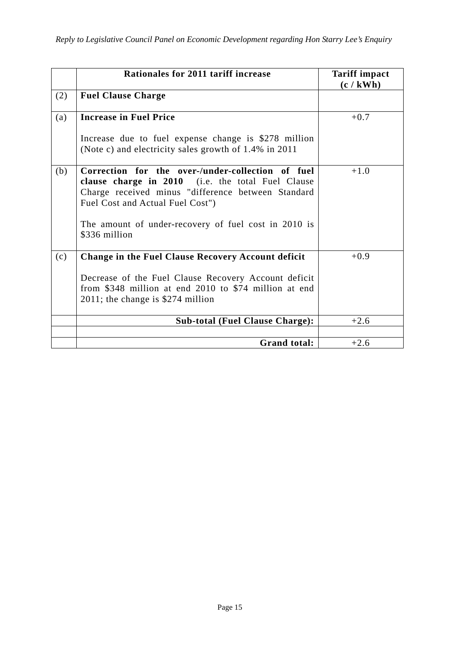|     | Rationales for 2011 tariff increase                                                                                                                                                              | <b>Tariff impact</b><br>(c / kWh) |
|-----|--------------------------------------------------------------------------------------------------------------------------------------------------------------------------------------------------|-----------------------------------|
| (2) | <b>Fuel Clause Charge</b>                                                                                                                                                                        |                                   |
| (a) | <b>Increase in Fuel Price</b>                                                                                                                                                                    | $+0.7$                            |
|     | Increase due to fuel expense change is \$278 million<br>(Note c) and electricity sales growth of 1.4% in 2011                                                                                    |                                   |
| (b) | Correction for the over-/under-collection of fuel<br>clause charge in 2010 (i.e. the total Fuel Clause<br>Charge received minus "difference between Standard<br>Fuel Cost and Actual Fuel Cost") | $+1.0$                            |
|     | The amount of under-recovery of fuel cost in 2010 is<br>\$336 million                                                                                                                            |                                   |
| (c) | <b>Change in the Fuel Clause Recovery Account deficit</b>                                                                                                                                        | $+0.9$                            |
|     | Decrease of the Fuel Clause Recovery Account deficit<br>from \$348 million at end 2010 to \$74 million at end<br>2011; the change is \$274 million                                               |                                   |
|     | <b>Sub-total (Fuel Clause Charge):</b>                                                                                                                                                           | $+2.6$                            |
|     |                                                                                                                                                                                                  |                                   |
|     | <b>Grand total:</b>                                                                                                                                                                              | $+2.6$                            |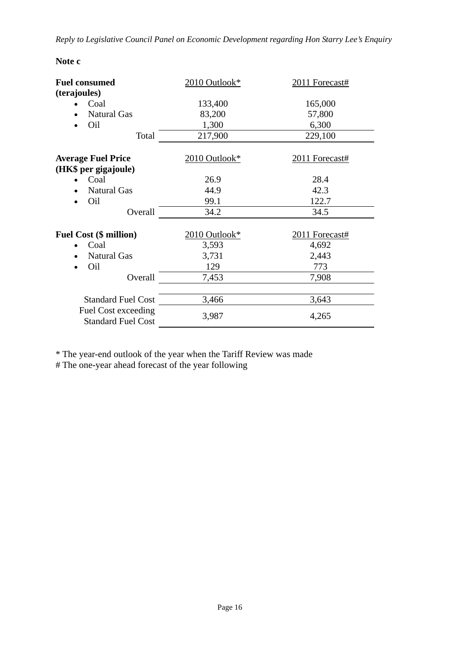| <b>Note</b> |  |
|-------------|--|
|-------------|--|

| <b>Fuel consumed</b>                             | 2010 Outlook* | 2011 Forecast# |  |
|--------------------------------------------------|---------------|----------------|--|
| (terajoules)                                     |               |                |  |
| Coal                                             | 133,400       | 165,000        |  |
| <b>Natural Gas</b>                               | 83,200        | 57,800         |  |
| Oil                                              | 1,300         | 6,300          |  |
| Total                                            | 217,900       | 229,100        |  |
| <b>Average Fuel Price</b>                        | 2010 Outlook* | 2011 Forecast# |  |
| (HK\$ per gigajoule)                             |               |                |  |
| Coal                                             | 26.9          | 28.4           |  |
| <b>Natural Gas</b>                               | 44.9          | 42.3           |  |
| Oil                                              | 99.1          | 122.7          |  |
| Overall                                          | 34.2          | 34.5           |  |
| <b>Fuel Cost (\$ million)</b>                    | 2010 Outlook* | 2011 Forecast# |  |
| Coal                                             | 3,593         | 4,692          |  |
| <b>Natural Gas</b>                               | 3,731         | 2,443          |  |
| Oil                                              | 129           | 773            |  |
| Overall                                          | 7,453         | 7,908          |  |
| <b>Standard Fuel Cost</b>                        | 3,466         | 3,643          |  |
| Fuel Cost exceeding<br><b>Standard Fuel Cost</b> | 3,987         | 4,265          |  |

\* The year-end outlook of the year when the Tariff Review was made

# The one-year ahead forecast of the year following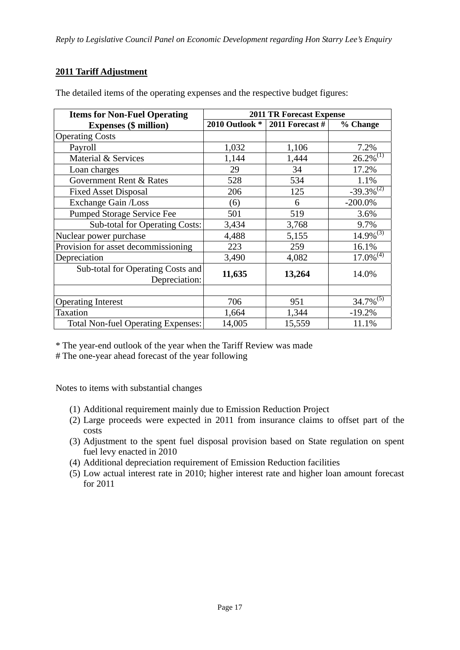### **2011 Tariff Adjustment**

| <b>Items for Non-Fuel Operating</b>                | <b>2011 TR Forecast Expense</b> |                   |                         |  |
|----------------------------------------------------|---------------------------------|-------------------|-------------------------|--|
| <b>Expenses (\$ million)</b>                       | 2010 Outlook *                  | $2011$ Forecast # | % Change                |  |
| <b>Operating Costs</b>                             |                                 |                   |                         |  |
| Payroll                                            | 1,032                           | 1,106             | 7.2%                    |  |
| Material & Services                                | 1,144                           | 1,444             | $26.2\%^{(1)}$          |  |
| Loan charges                                       | 29                              | 34                | 17.2%                   |  |
| Government Rent & Rates                            | 528                             | 534               | 1.1%                    |  |
| <b>Fixed Asset Disposal</b>                        | 206                             | 125               | $-39.3\%^{(2)}$         |  |
| Exchange Gain /Loss                                | (6)                             | 6                 | $-200.0\%$              |  |
| Pumped Storage Service Fee                         | 501                             | 519               | 3.6%                    |  |
| <b>Sub-total for Operating Costs:</b>              | 3,434                           | 3,768             | 9.7%                    |  |
| Nuclear power purchase                             | 4,488                           | 5,155             | $14.9\%^{(3)}$          |  |
| Provision for asset decommissioning                | 223                             | 259               | 16.1%                   |  |
| Depreciation                                       | 3,490                           | 4,082             | $17.0\%$ <sup>(4)</sup> |  |
| Sub-total for Operating Costs and<br>Depreciation: | 11,635                          | 13,264            | 14.0%                   |  |
|                                                    |                                 |                   |                         |  |
| <b>Operating Interest</b>                          | 706                             | 951               | $34.7\%^{(5)}$          |  |
| <b>Taxation</b>                                    | 1,664                           | 1,344             | $-19.2%$                |  |
| <b>Total Non-fuel Operating Expenses:</b>          | 14,005                          | 15,559            | 11.1%                   |  |

The detailed items of the operating expenses and the respective budget figures:

\* The year-end outlook of the year when the Tariff Review was made

# The one-year ahead forecast of the year following

Notes to items with substantial changes

- (1) Additional requirement mainly due to Emission Reduction Project
- (2) Large proceeds were expected in 2011 from insurance claims to offset part of the costs
- (3) Adjustment to the spent fuel disposal provision based on State regulation on spent fuel levy enacted in 2010
- (4) Additional depreciation requirement of Emission Reduction facilities
- (5) Low actual interest rate in 2010; higher interest rate and higher loan amount forecast for 2011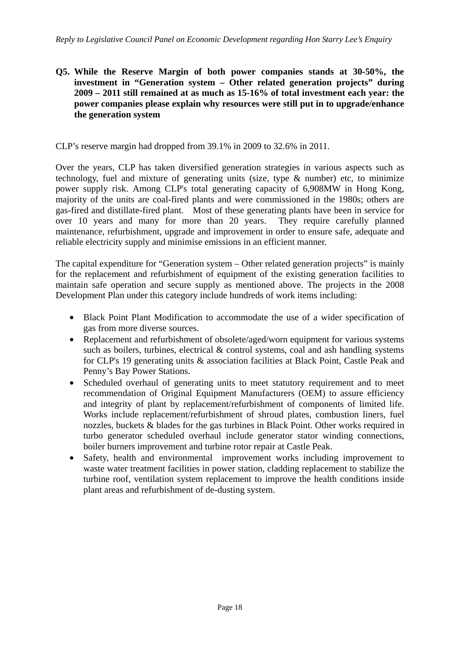**Q5. While the Reserve Margin of both power companies stands at 30-50%, the investment in "Generation system – Other related generation projects" during 2009 – 2011 still remained at as much as 15-16% of total investment each year: the power companies please explain why resources were still put in to upgrade/enhance the generation system** 

CLP's reserve margin had dropped from 39.1% in 2009 to 32.6% in 2011.

Over the years, CLP has taken diversified generation strategies in various aspects such as technology, fuel and mixture of generating units (size, type & number) etc, to minimize power supply risk. Among CLP's total generating capacity of 6,908MW in Hong Kong, majority of the units are coal-fired plants and were commissioned in the 1980s; others are gas-fired and distillate-fired plant. Most of these generating plants have been in service for over 10 years and many for more than 20 years. They require carefully planned maintenance, refurbishment, upgrade and improvement in order to ensure safe, adequate and reliable electricity supply and minimise emissions in an efficient manner.

The capital expenditure for "Generation system – Other related generation projects" is mainly for the replacement and refurbishment of equipment of the existing generation facilities to maintain safe operation and secure supply as mentioned above. The projects in the 2008 Development Plan under this category include hundreds of work items including:

- Black Point Plant Modification to accommodate the use of a wider specification of gas from more diverse sources.
- Replacement and refurbishment of obsolete/aged/worn equipment for various systems such as boilers, turbines, electrical  $\&$  control systems, coal and ash handling systems for CLP's 19 generating units & association facilities at Black Point, Castle Peak and Penny's Bay Power Stations.
- Scheduled overhaul of generating units to meet statutory requirement and to meet recommendation of Original Equipment Manufacturers (OEM) to assure efficiency and integrity of plant by replacement/refurbishment of components of limited life. Works include replacement/refurbishment of shroud plates, combustion liners, fuel nozzles, buckets & blades for the gas turbines in Black Point. Other works required in turbo generator scheduled overhaul include generator stator winding connections, boiler burners improvement and turbine rotor repair at Castle Peak.
- Safety, health and environmental improvement works including improvement to waste water treatment facilities in power station, cladding replacement to stabilize the turbine roof, ventilation system replacement to improve the health conditions inside plant areas and refurbishment of de-dusting system.